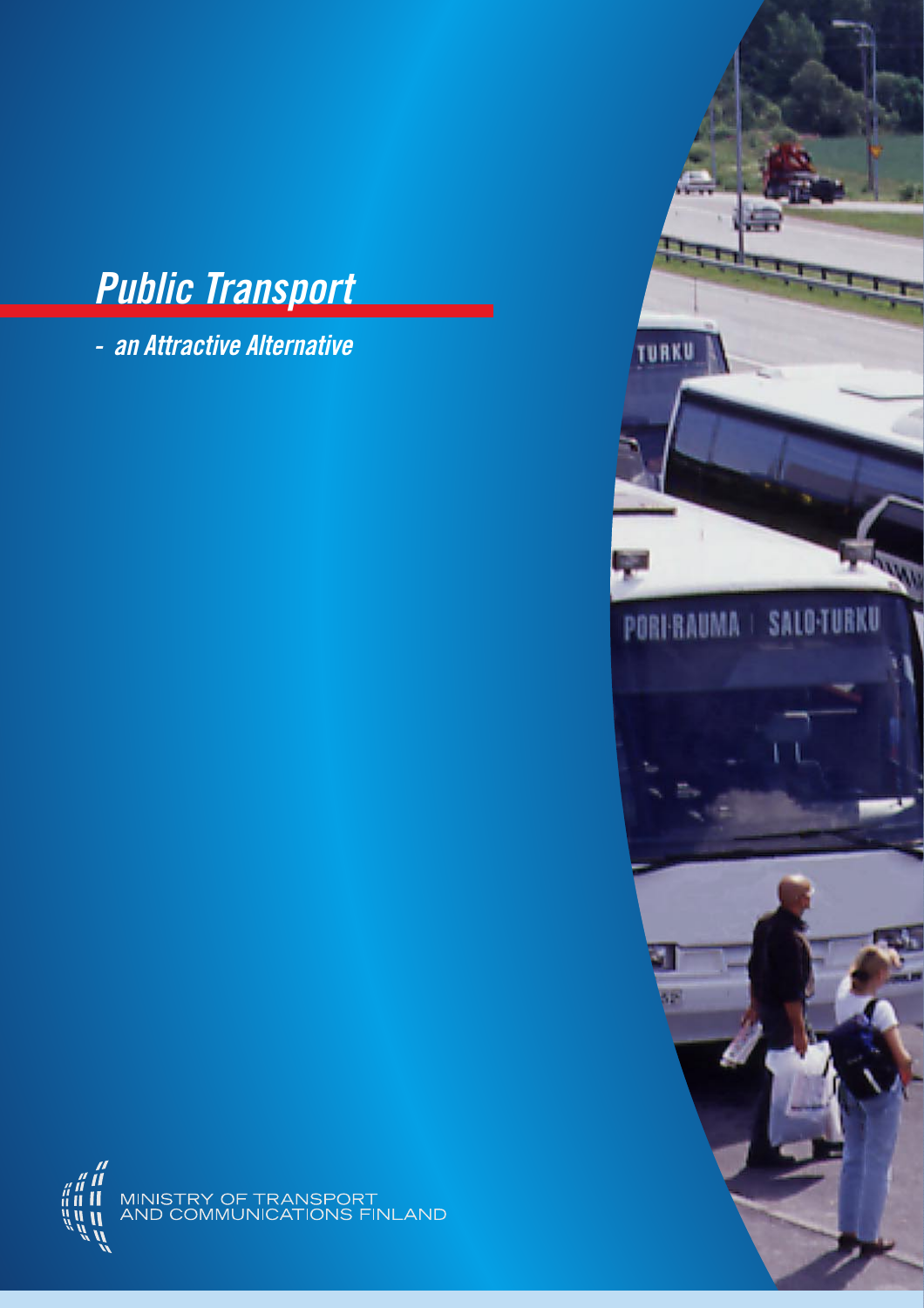## **Public Transport**

**- an Attractive Alternative**



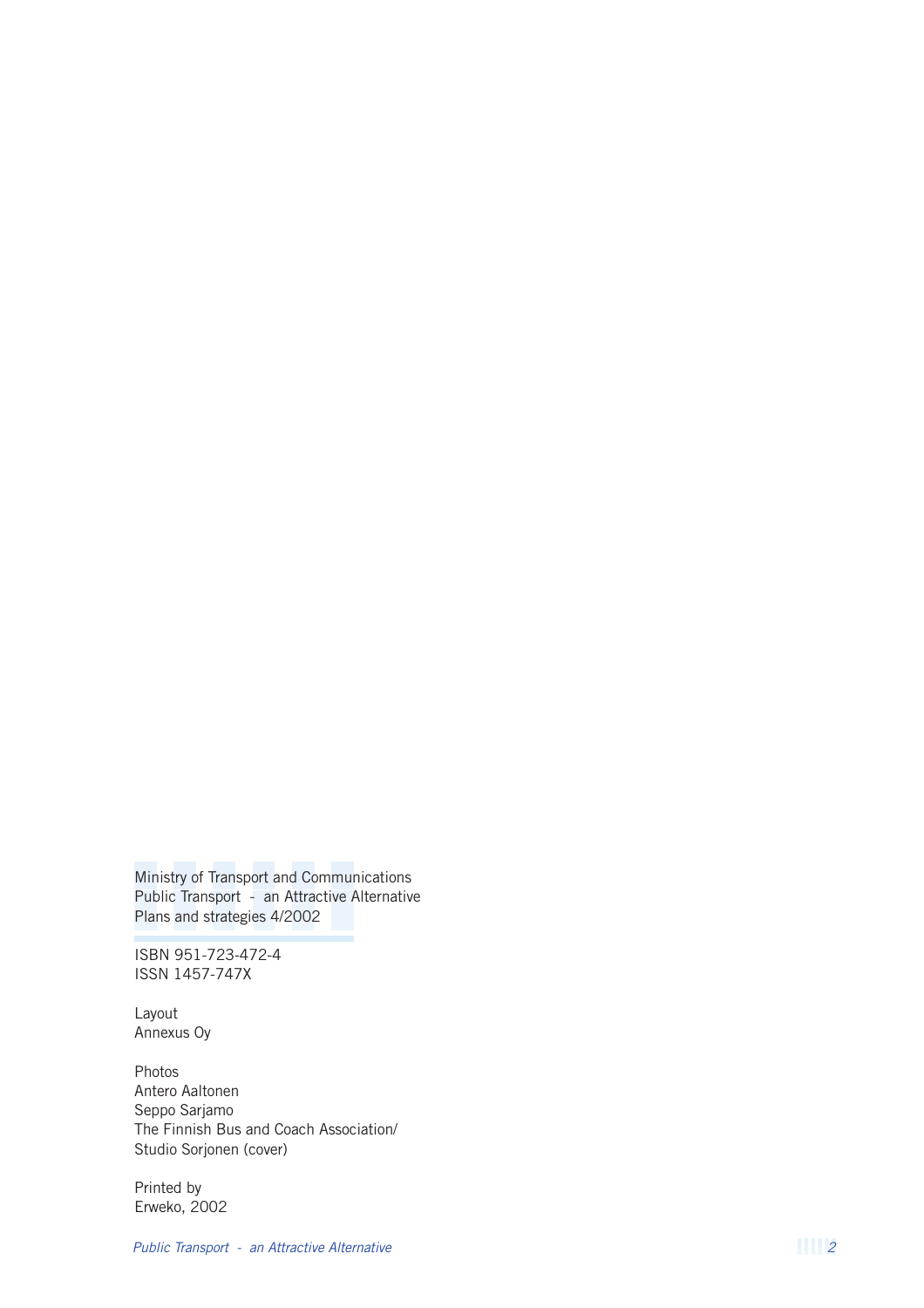Ministry of Transport and Communications Public Transport - an Attractive Alternative Plans and strategies 4/2002

ISBN 951-723-472-4 ISSN 1457-747X

Layout Annexus Oy

Photos Antero Aaltonen Seppo Sarjamo The Finnish Bus and Coach Association/ Studio Sorjonen (cover)

Printed by Erweko, 2002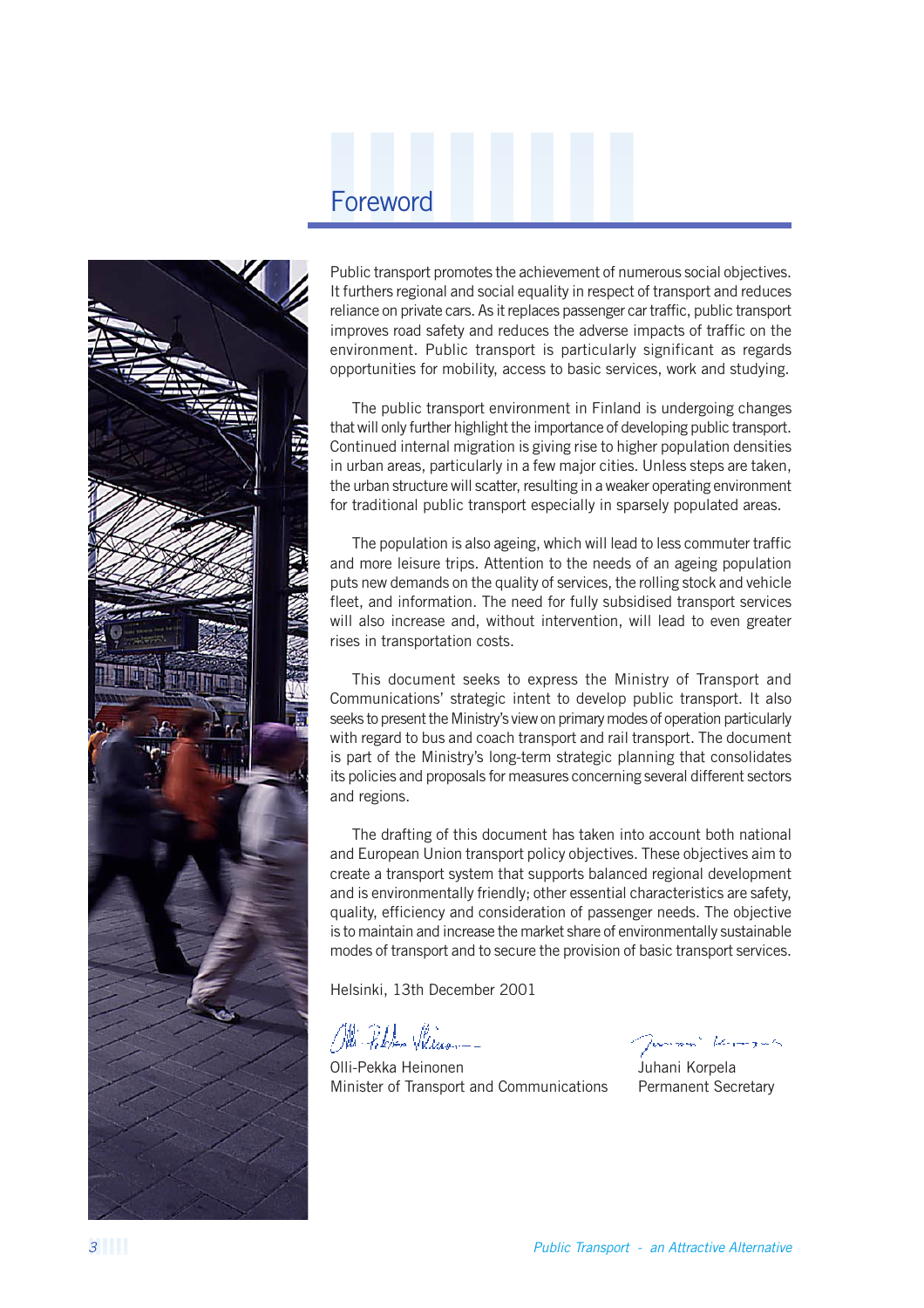### Foreword



Public transport promotes the achievement of numerous social objectives. It furthers regional and social equality in respect of transport and reduces reliance on private cars. As it replaces passenger car traffic, public transport improves road safety and reduces the adverse impacts of traffic on the environment. Public transport is particularly significant as regards opportunities for mobility, access to basic services, work and studying.

The public transport environment in Finland is undergoing changes that will only further highlight the importance of developing public transport. Continued internal migration is giving rise to higher population densities in urban areas, particularly in a few major cities. Unless steps are taken, the urban structure will scatter, resulting in a weaker operating environment for traditional public transport especially in sparsely populated areas.

The population is also ageing, which will lead to less commuter traffic and more leisure trips. Attention to the needs of an ageing population puts new demands on the quality of services, the rolling stock and vehicle fleet, and information. The need for fully subsidised transport services will also increase and, without intervention, will lead to even greater rises in transportation costs.

This document seeks to express the Ministry of Transport and Communications' strategic intent to develop public transport. It also seeks to present the Ministry's view on primary modes of operation particularly with regard to bus and coach transport and rail transport. The document is part of the Ministry's long-term strategic planning that consolidates its policies and proposals for measures concerning several different sectors and regions.

The drafting of this document has taken into account both national and European Union transport policy objectives. These objectives aim to create a transport system that supports balanced regional development and is environmentally friendly; other essential characteristics are safety, quality, efficiency and consideration of passenger needs. The objective is to maintain and increase the market share of environmentally sustainable modes of transport and to secure the provision of basic transport services.

Helsinki, 13th December 2001

Olli Pelden Villanon

Olli-Pekka Heinonen Juhani Korpela Minister of Transport and Communications Permanent Secretary

بحباوسينكا المتعجب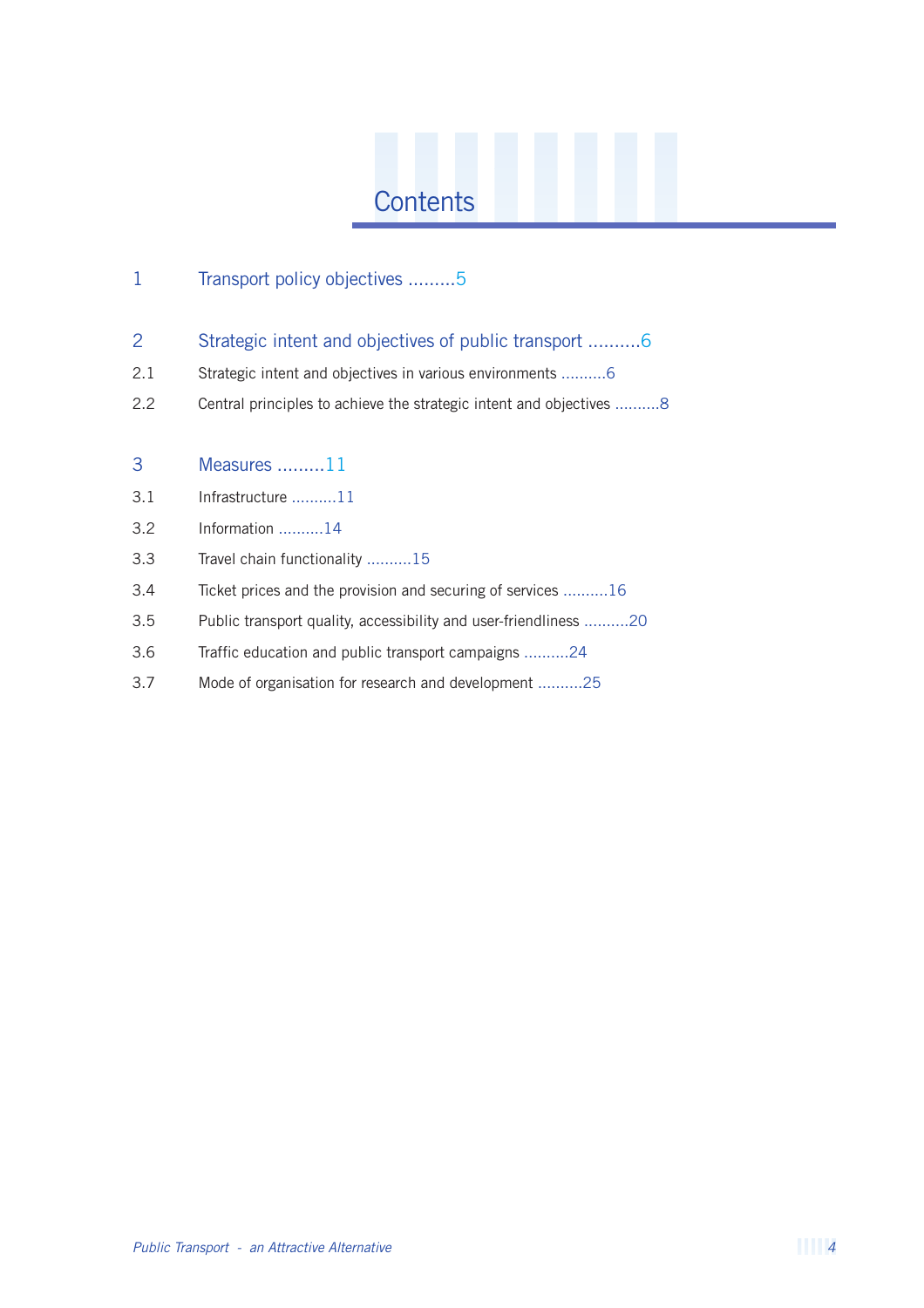## **Contents**

### 1 Transport policy objectives .........5

- 2 Strategic intent and objectives of public transport ..........6
- 2.1 Strategic intent and objectives in various environments ..........6
- 2.2 Central principles to achieve the strategic intent and objectives ..........8

### 3 Measures .........11

- 3.1 Infrastructure ..........11
- 3.2 Information ..........14
- 3.3 Travel chain functionality ..........15
- 3.4 Ticket prices and the provision and securing of services ..........16
- 3.5 Public transport quality, accessibility and user-friendliness ..........20
- 3.6 Traffic education and public transport campaigns ..........24
- 3.7 Mode of organisation for research and development ..........25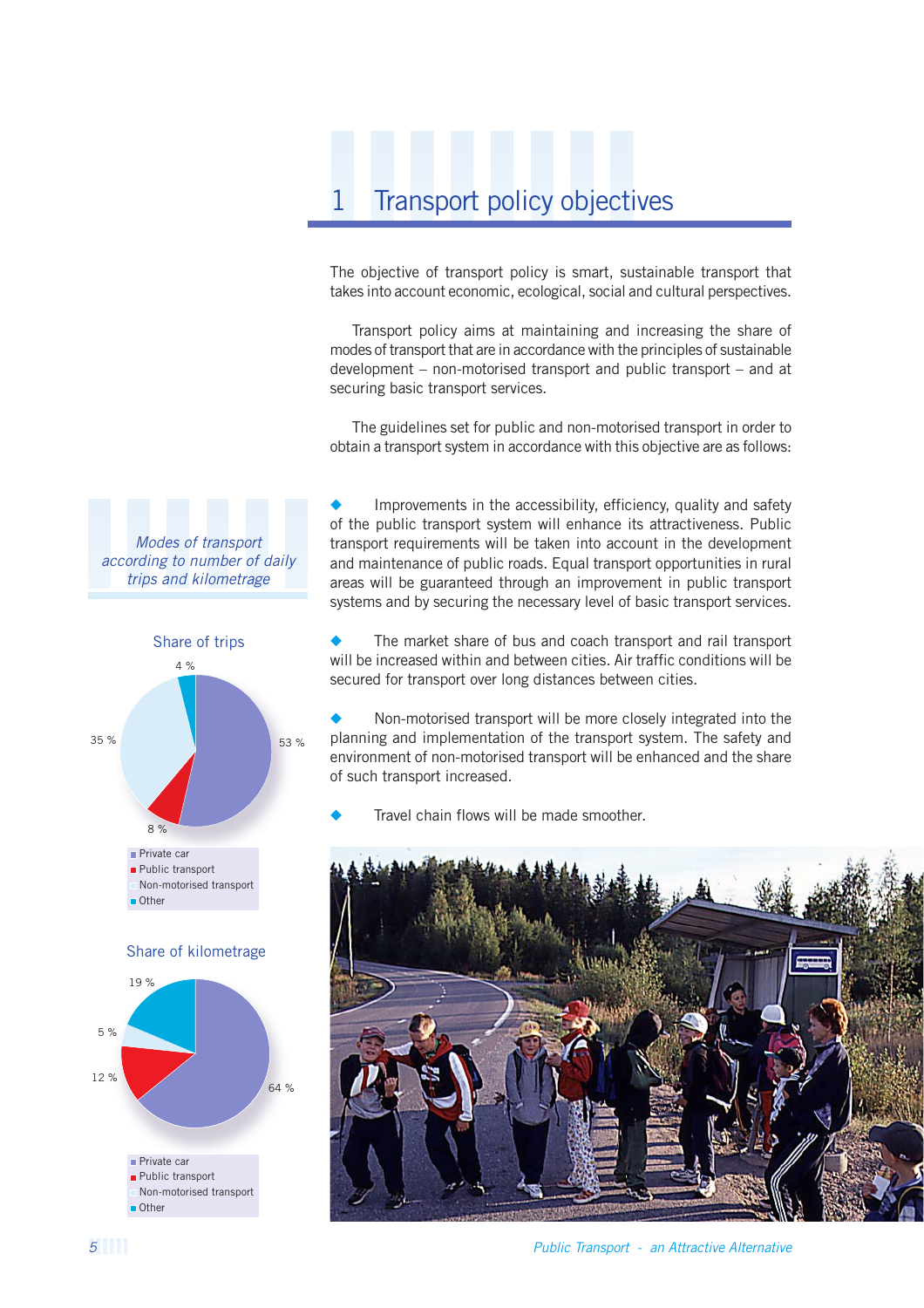## 1 Transport policy objectives

The objective of transport policy is smart, sustainable transport that takes into account economic, ecological, social and cultural perspectives.

Transport policy aims at maintaining and increasing the share of modes of transport that are in accordance with the principles of sustainable development – non-motorised transport and public transport – and at securing basic transport services.

The guidelines set for public and non-motorised transport in order to obtain a transport system in accordance with this objective are as follows:

Improvements in the accessibility, efficiency, quality and safety of the public transport system will enhance its attractiveness. Public transport requirements will be taken into account in the development and maintenance of public roads. Equal transport opportunities in rural areas will be guaranteed through an improvement in public transport systems and by securing the necessary level of basic transport services.

The market share of bus and coach transport and rail transport will be increased within and between cities. Air traffic conditions will be secured for transport over long distances between cities.

Non-motorised transport will be more closely integrated into the planning and implementation of the transport system. The safety and environment of non-motorised transport will be enhanced and the share of such transport increased.

Travel chain flows will be made smoother.



5 Public Transport - an Attractive Alternative

Modes of transport according to number of daily trips and kilometrage





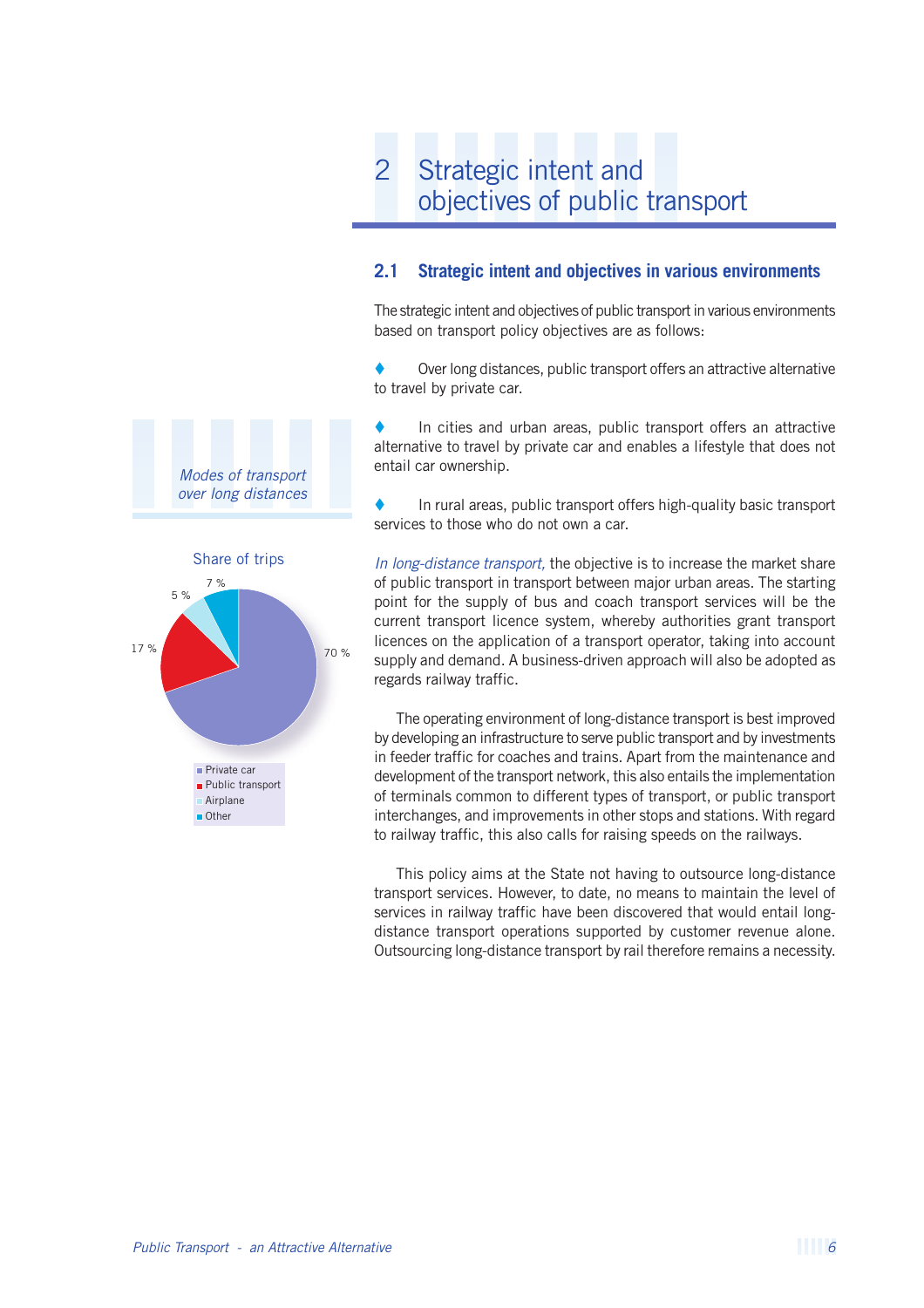## 2 Strategic intent and objectives of public transport

### **2.1 Strategic intent and objectives in various environments**

The strategic intent and objectives of public transport in various environments based on transport policy objectives are as follows:

 Over long distances, public transport offers an attractive alternative to travel by private car.

 In cities and urban areas, public transport offers an attractive alternative to travel by private car and enables a lifestyle that does not entail car ownership.

 In rural areas, public transport offers high-quality basic transport services to those who do not own a car.

In long-distance transport, the objective is to increase the market share of public transport in transport between major urban areas. The starting point for the supply of bus and coach transport services will be the current transport licence system, whereby authorities grant transport licences on the application of a transport operator, taking into account supply and demand. A business-driven approach will also be adopted as regards railway traffic.

The operating environment of long-distance transport is best improved by developing an infrastructure to serve public transport and by investments in feeder traffic for coaches and trains. Apart from the maintenance and development of the transport network, this also entails the implementation of terminals common to different types of transport, or public transport interchanges, and improvements in other stops and stations. With regard to railway traffic, this also calls for raising speeds on the railways.

This policy aims at the State not having to outsource long-distance transport services. However, to date, no means to maintain the level of services in railway traffic have been discovered that would entail longdistance transport operations supported by customer revenue alone. Outsourcing long-distance transport by rail therefore remains a necessity.



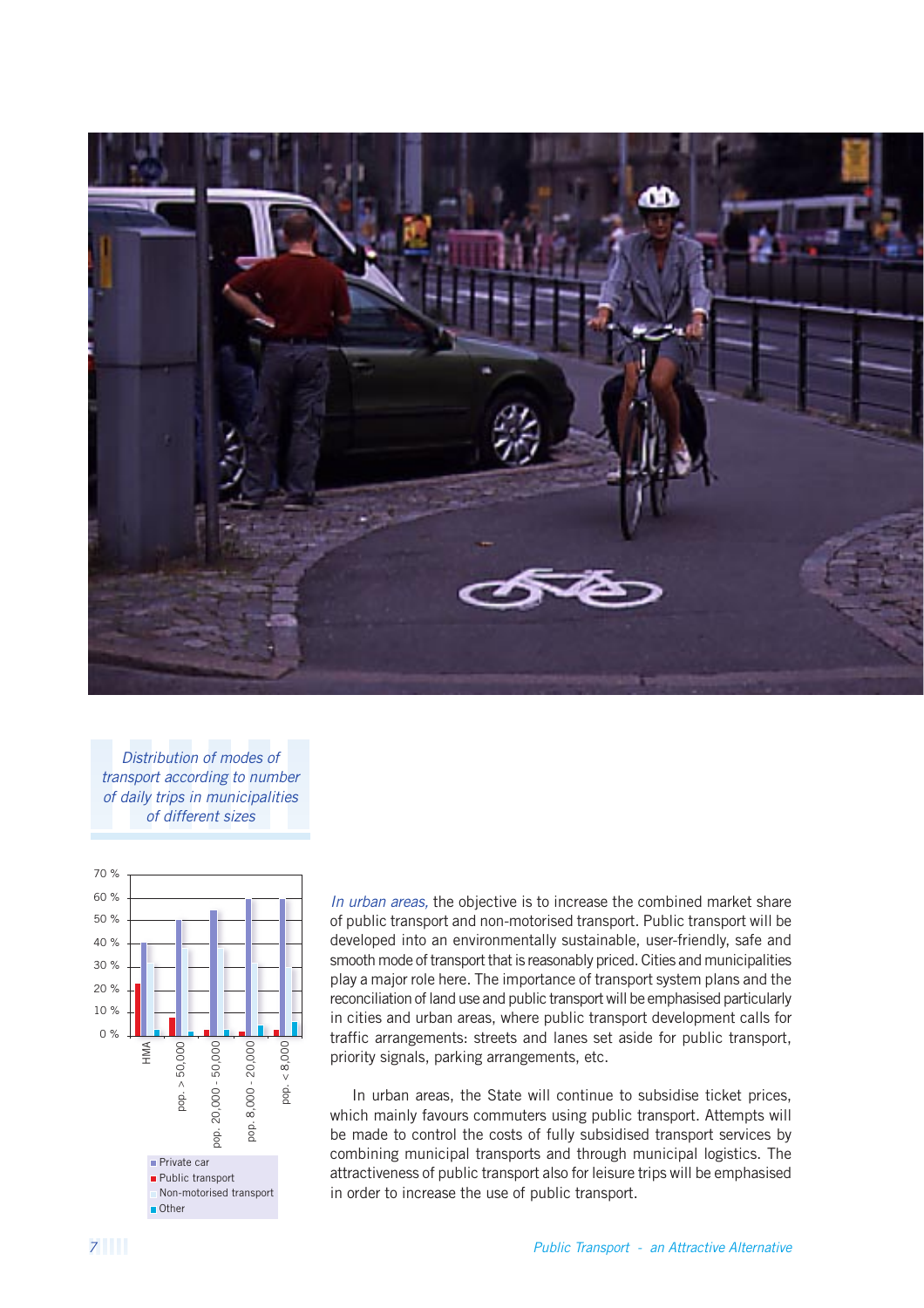

Distribution of modes of transport according to number of daily trips in municipalities of different sizes



In urban areas, the objective is to increase the combined market share of public transport and non-motorised transport. Public transport will be developed into an environmentally sustainable, user-friendly, safe and smooth mode of transport that is reasonably priced. Cities and municipalities play a major role here. The importance of transport system plans and the reconciliation of land use and public transport will be emphasised particularly in cities and urban areas, where public transport development calls for traffic arrangements: streets and lanes set aside for public transport, priority signals, parking arrangements, etc.

In urban areas, the State will continue to subsidise ticket prices, which mainly favours commuters using public transport. Attempts will be made to control the costs of fully subsidised transport services by combining municipal transports and through municipal logistics. The attractiveness of public transport also for leisure trips will be emphasised in order to increase the use of public transport.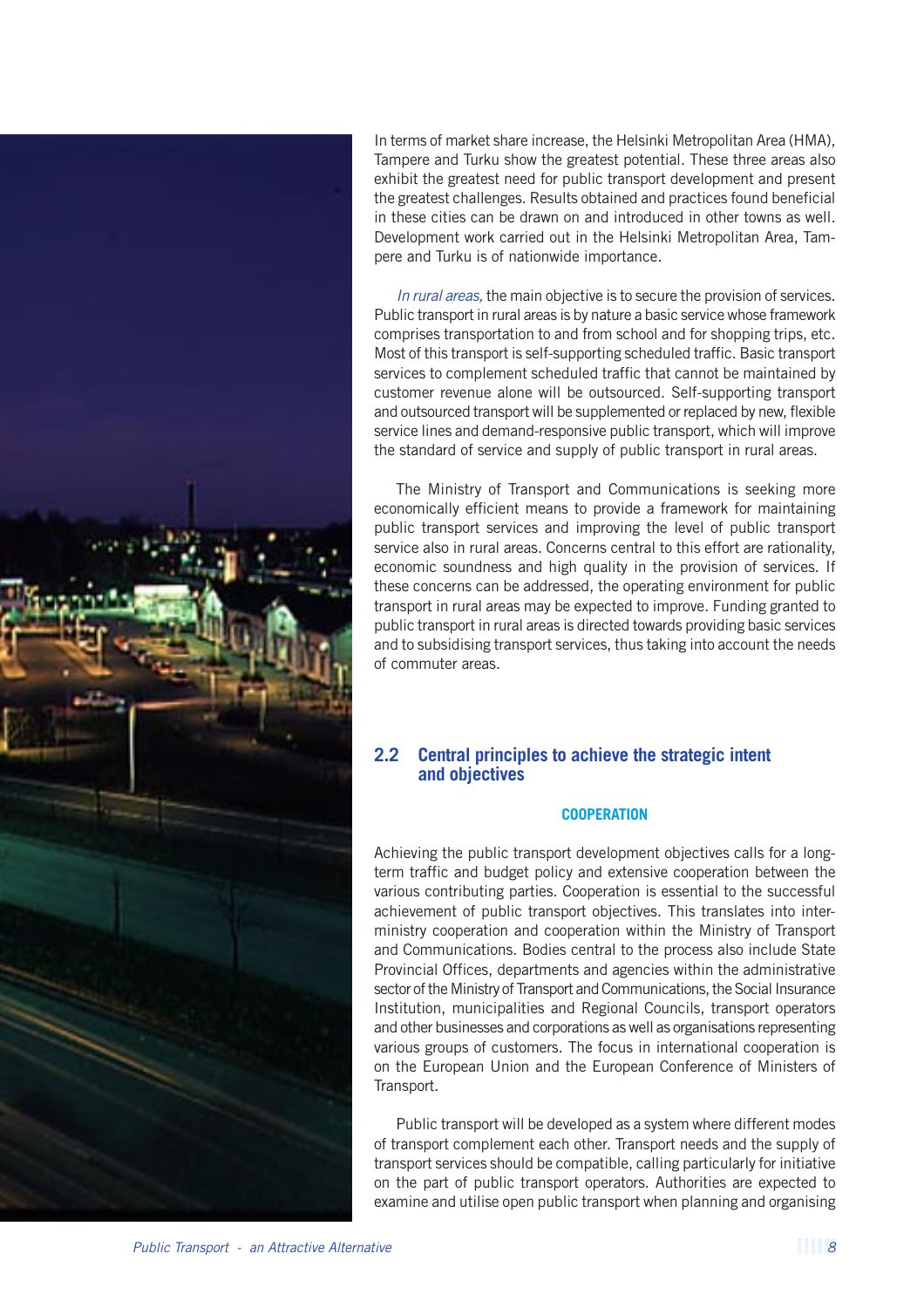

In terms of market share increase, the Helsinki Metropolitan Area (HMA), Tampere and Turku show the greatest potential. These three areas also exhibit the greatest need for public transport development and present the greatest challenges. Results obtained and practices found beneficial in these cities can be drawn on and introduced in other towns as well. Development work carried out in the Helsinki Metropolitan Area, Tampere and Turku is of nationwide importance.

In rural areas, the main objective is to secure the provision of services. Public transport in rural areas is by nature a basic service whose framework comprises transportation to and from school and for shopping trips, etc. Most of this transport is self-supporting scheduled traffic. Basic transport services to complement scheduled traffic that cannot be maintained by customer revenue alone will be outsourced. Self-supporting transport and outsourced transport will be supplemented or replaced by new, flexible service lines and demand-responsive public transport, which will improve the standard of service and supply of public transport in rural areas.

The Ministry of Transport and Communications is seeking more economically efficient means to provide a framework for maintaining public transport services and improving the level of public transport service also in rural areas. Concerns central to this effort are rationality, economic soundness and high quality in the provision of services. If these concerns can be addressed, the operating environment for public transport in rural areas may be expected to improve. Funding granted to public transport in rural areas is directed towards providing basic services and to subsidising transport services, thus taking into account the needs of commuter areas.

### **2.2 Central principles to achieve the strategic intent and objectives**

### **COOPERATION**

Achieving the public transport development objectives calls for a longterm traffic and budget policy and extensive cooperation between the various contributing parties. Cooperation is essential to the successful achievement of public transport objectives. This translates into interministry cooperation and cooperation within the Ministry of Transport and Communications. Bodies central to the process also include State Provincial Offices, departments and agencies within the administrative sector of the Ministry of Transport and Communications, the Social Insurance Institution, municipalities and Regional Councils, transport operators and other businesses and corporations as well as organisations representing various groups of customers. The focus in international cooperation is on the European Union and the European Conference of Ministers of Transport.

Public transport will be developed as a system where different modes of transport complement each other. Transport needs and the supply of transport services should be compatible, calling particularly for initiative on the part of public transport operators. Authorities are expected to examine and utilise open public transport when planning and organising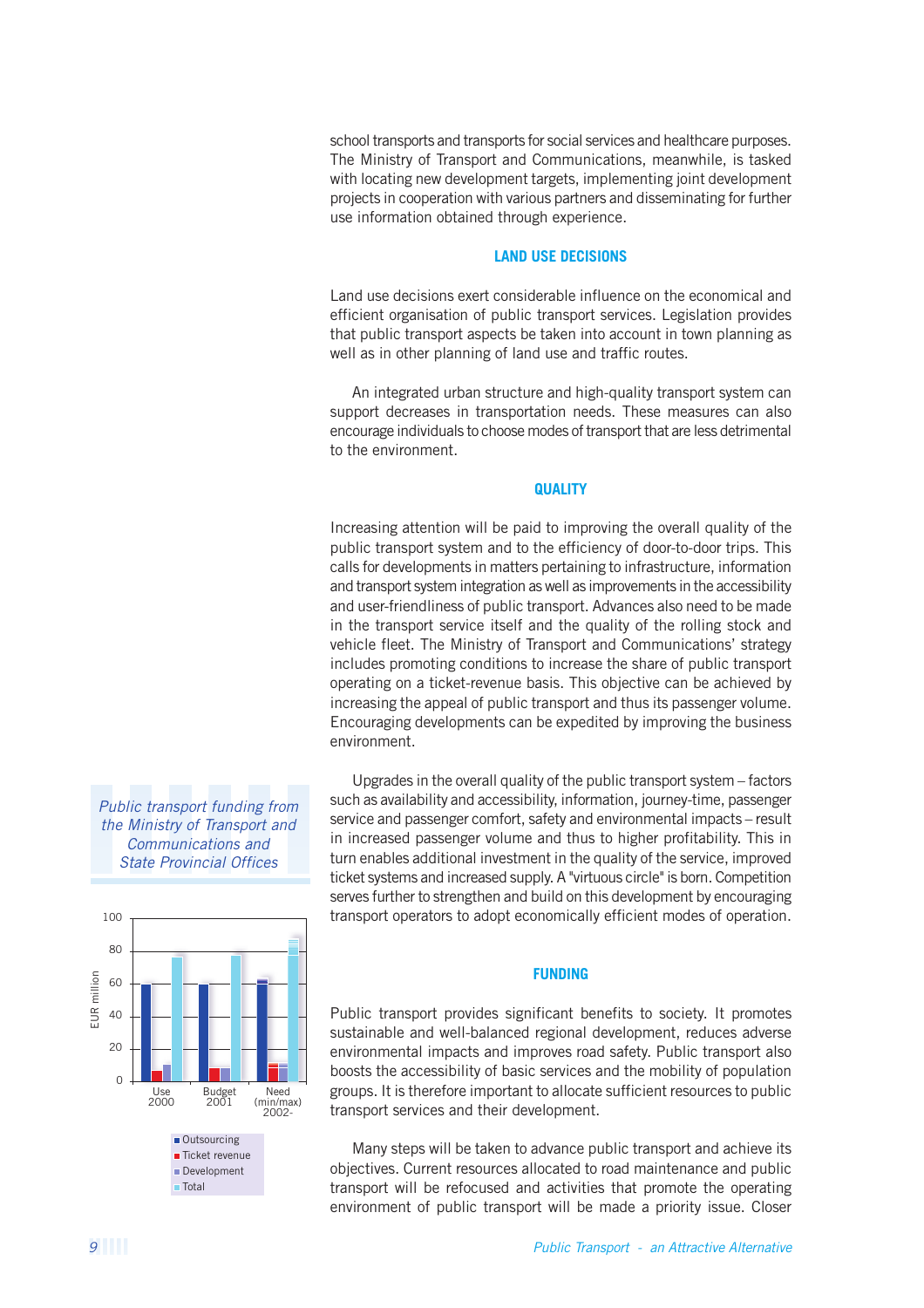school transports and transports for social services and healthcare purposes. The Ministry of Transport and Communications, meanwhile, is tasked with locating new development targets, implementing joint development projects in cooperation with various partners and disseminating for further use information obtained through experience.

### **LAND USE DECISIONS**

Land use decisions exert considerable influence on the economical and efficient organisation of public transport services. Legislation provides that public transport aspects be taken into account in town planning as well as in other planning of land use and traffic routes.

An integrated urban structure and high-quality transport system can support decreases in transportation needs. These measures can also encourage individuals to choose modes of transport that are less detrimental to the environment.

### **QUALITY**

Increasing attention will be paid to improving the overall quality of the public transport system and to the efficiency of door-to-door trips. This calls for developments in matters pertaining to infrastructure, information and transport system integration as well as improvements in the accessibility and user-friendliness of public transport. Advances also need to be made in the transport service itself and the quality of the rolling stock and vehicle fleet. The Ministry of Transport and Communications' strategy includes promoting conditions to increase the share of public transport operating on a ticket-revenue basis. This objective can be achieved by increasing the appeal of public transport and thus its passenger volume. Encouraging developments can be expedited by improving the business environment.

Upgrades in the overall quality of the public transport system – factors such as availability and accessibility, information, journey-time, passenger service and passenger comfort, safety and environmental impacts – result in increased passenger volume and thus to higher profitability. This in turn enables additional investment in the quality of the service, improved ticket systems and increased supply. A "virtuous circle" is born. Competition serves further to strengthen and build on this development by encouraging transport operators to adopt economically efficient modes of operation.

#### **FUNDING**

Public transport provides significant benefits to society. It promotes sustainable and well-balanced regional development, reduces adverse environmental impacts and improves road safety. Public transport also boosts the accessibility of basic services and the mobility of population groups. It is therefore important to allocate sufficient resources to public transport services and their development.

Many steps will be taken to advance public transport and achieve its objectives. Current resources allocated to road maintenance and public transport will be refocused and activities that promote the operating environment of public transport will be made a priority issue. Closer

Public transport funding from the Ministry of Transport and Communications and State Provincial Offices

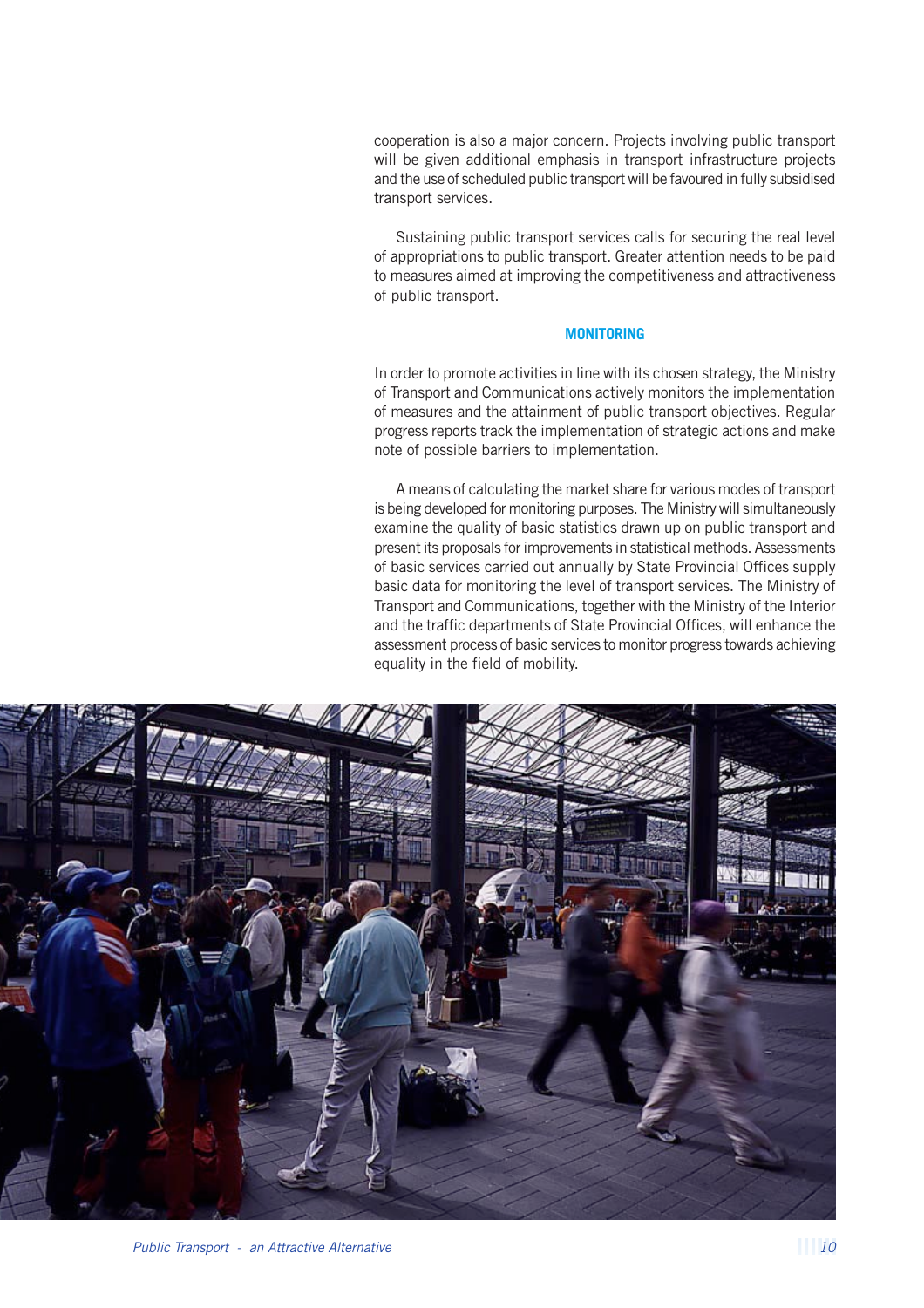cooperation is also a major concern. Projects involving public transport will be given additional emphasis in transport infrastructure projects and the use of scheduled public transport will be favoured in fully subsidised transport services.

Sustaining public transport services calls for securing the real level of appropriations to public transport. Greater attention needs to be paid to measures aimed at improving the competitiveness and attractiveness of public transport.

### **MONITORING**

In order to promote activities in line with its chosen strategy, the Ministry of Transport and Communications actively monitors the implementation of measures and the attainment of public transport objectives. Regular progress reports track the implementation of strategic actions and make note of possible barriers to implementation.

A means of calculating the market share for various modes of transport is being developed for monitoring purposes. The Ministry will simultaneously examine the quality of basic statistics drawn up on public transport and present its proposals for improvements in statistical methods. Assessments of basic services carried out annually by State Provincial Offices supply basic data for monitoring the level of transport services. The Ministry of Transport and Communications, together with the Ministry of the Interior and the traffic departments of State Provincial Offices, will enhance the assessment process of basic services to monitor progress towards achieving equality in the field of mobility.

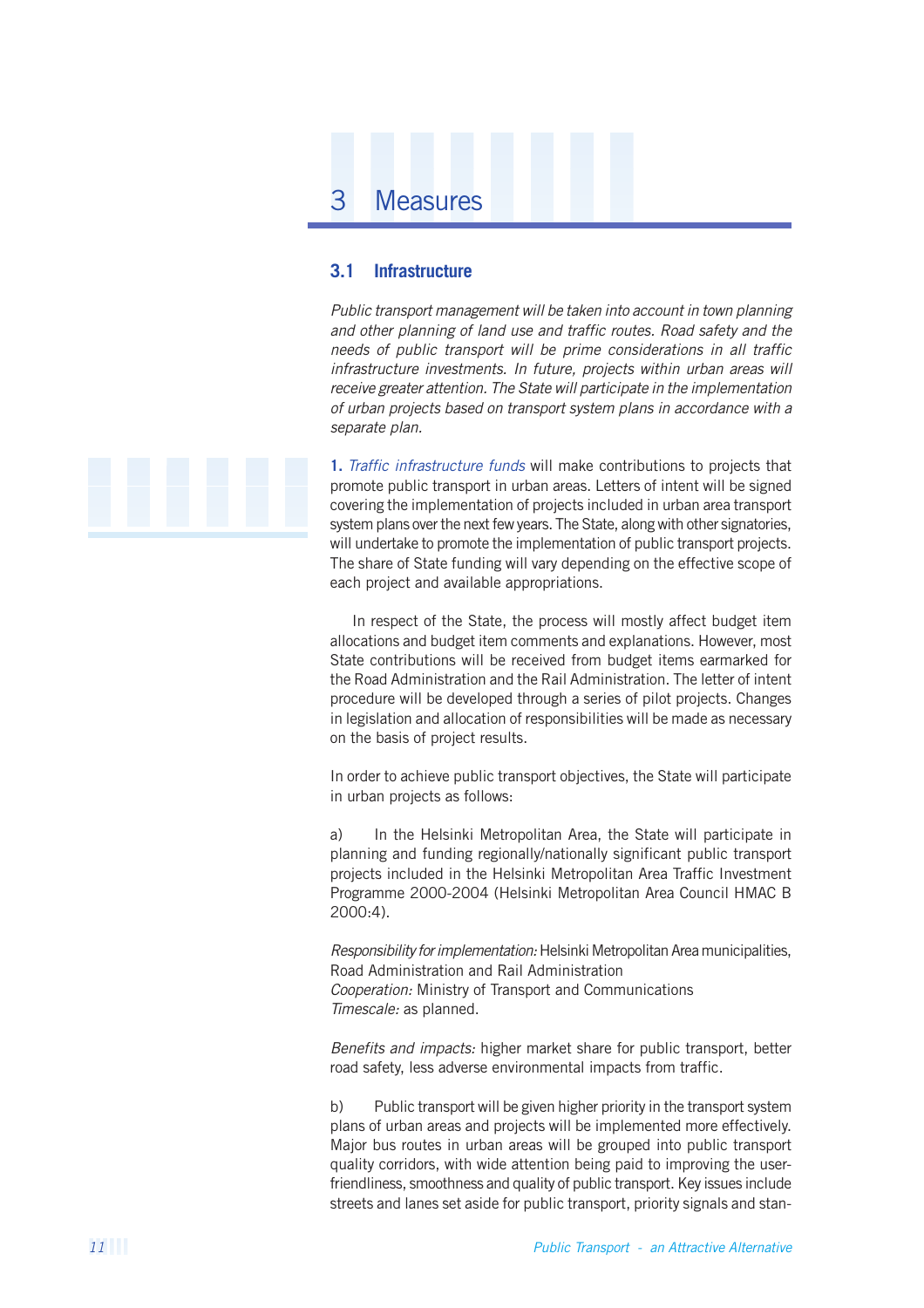# 3 Measures

### **3.1 Infrastructure**

Public transport management will be taken into account in town planning and other planning of land use and traffic routes. Road safety and the needs of public transport will be prime considerations in all traffic infrastructure investments. In future, projects within urban areas will receive greater attention. The State will participate in the implementation of urban projects based on transport system plans in accordance with a separate plan.

**1.** Traffic infrastructure funds will make contributions to projects that promote public transport in urban areas. Letters of intent will be signed covering the implementation of projects included in urban area transport system plans over the next few years. The State, along with other signatories, will undertake to promote the implementation of public transport projects. The share of State funding will vary depending on the effective scope of each project and available appropriations.

In respect of the State, the process will mostly affect budget item allocations and budget item comments and explanations. However, most State contributions will be received from budget items earmarked for the Road Administration and the Rail Administration. The letter of intent procedure will be developed through a series of pilot projects. Changes in legislation and allocation of responsibilities will be made as necessary on the basis of project results.

In order to achieve public transport objectives, the State will participate in urban projects as follows:

a) In the Helsinki Metropolitan Area, the State will participate in planning and funding regionally/nationally significant public transport projects included in the Helsinki Metropolitan Area Traffic Investment Programme 2000-2004 (Helsinki Metropolitan Area Council HMAC B  $2000 \cdot 4$ 

Responsibility for implementation: Helsinki Metropolitan Area municipalities, Road Administration and Rail Administration Cooperation: Ministry of Transport and Communications Timescale: as planned.

Benefits and impacts: higher market share for public transport, better road safety, less adverse environmental impacts from traffic.

b) Public transport will be given higher priority in the transport system plans of urban areas and projects will be implemented more effectively. Major bus routes in urban areas will be grouped into public transport quality corridors, with wide attention being paid to improving the userfriendliness, smoothness and quality of public transport. Key issues include streets and lanes set aside for public transport, priority signals and stan-

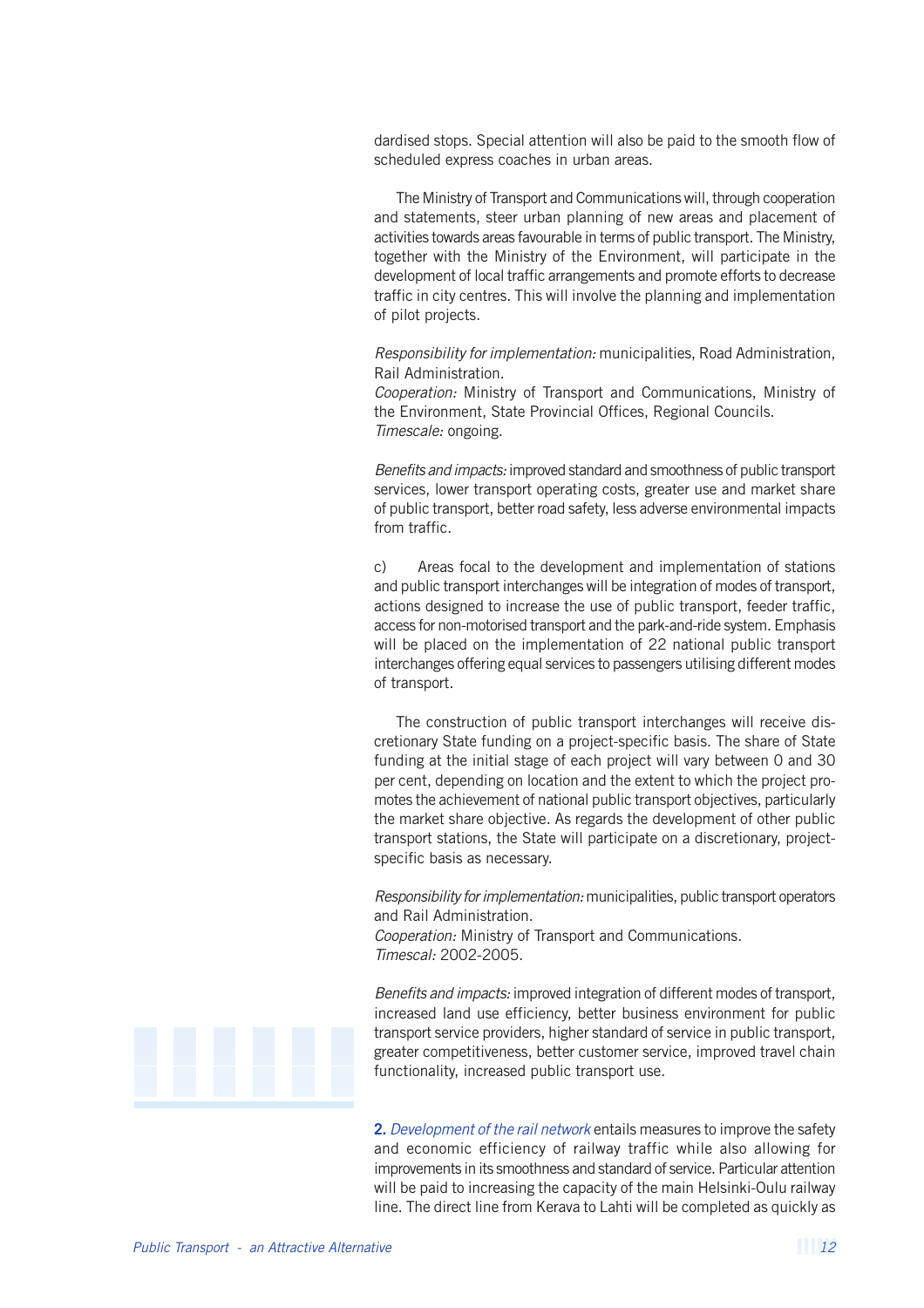dardised stops. Special attention will also be paid to the smooth flow of scheduled express coaches in urban areas.

The Ministry of Transport and Communications will, through cooperation and statements, steer urban planning of new areas and placement of activities towards areas favourable in terms of public transport. The Ministry, together with the Ministry of the Environment, will participate in the development of local traffic arrangements and promote efforts to decrease traffic in city centres. This will involve the planning and implementation of pilot projects.

Responsibility for implementation: municipalities, Road Administration, Rail Administration.

Cooperation: Ministry of Transport and Communications, Ministry of the Environment, State Provincial Offices, Regional Councils. Timescale: ongoing.

Benefits and impacts: improved standard and smoothness of public transport services, lower transport operating costs, greater use and market share of public transport, better road safety, less adverse environmental impacts from traffic.

c) Areas focal to the development and implementation of stations and public transport interchanges will be integration of modes of transport, actions designed to increase the use of public transport, feeder traffic, access for non-motorised transport and the park-and-ride system. Emphasis will be placed on the implementation of 22 national public transport interchanges offering equal services to passengers utilising different modes of transport.

The construction of public transport interchanges will receive discretionary State funding on a project-specific basis. The share of State funding at the initial stage of each project will vary between 0 and 30 per cent, depending on location and the extent to which the project promotes the achievement of national public transport objectives, particularly the market share objective. As regards the development of other public transport stations, the State will participate on a discretionary, projectspecific basis as necessary.

Responsibility for implementation: municipalities, public transport operators and Rail Administration. Cooperation: Ministry of Transport and Communications. Timescal: 2002-2005.

Benefits and impacts: improved integration of different modes of transport, increased land use efficiency, better business environment for public transport service providers, higher standard of service in public transport, greater competitiveness, better customer service, improved travel chain functionality, increased public transport use.

**2.** Development of the rail network entails measures to improve the safety and economic efficiency of railway traffic while also allowing for improvements in its smoothness and standard of service. Particular attention will be paid to increasing the capacity of the main Helsinki-Oulu railway line. The direct line from Kerava to Lahti will be completed as quickly as

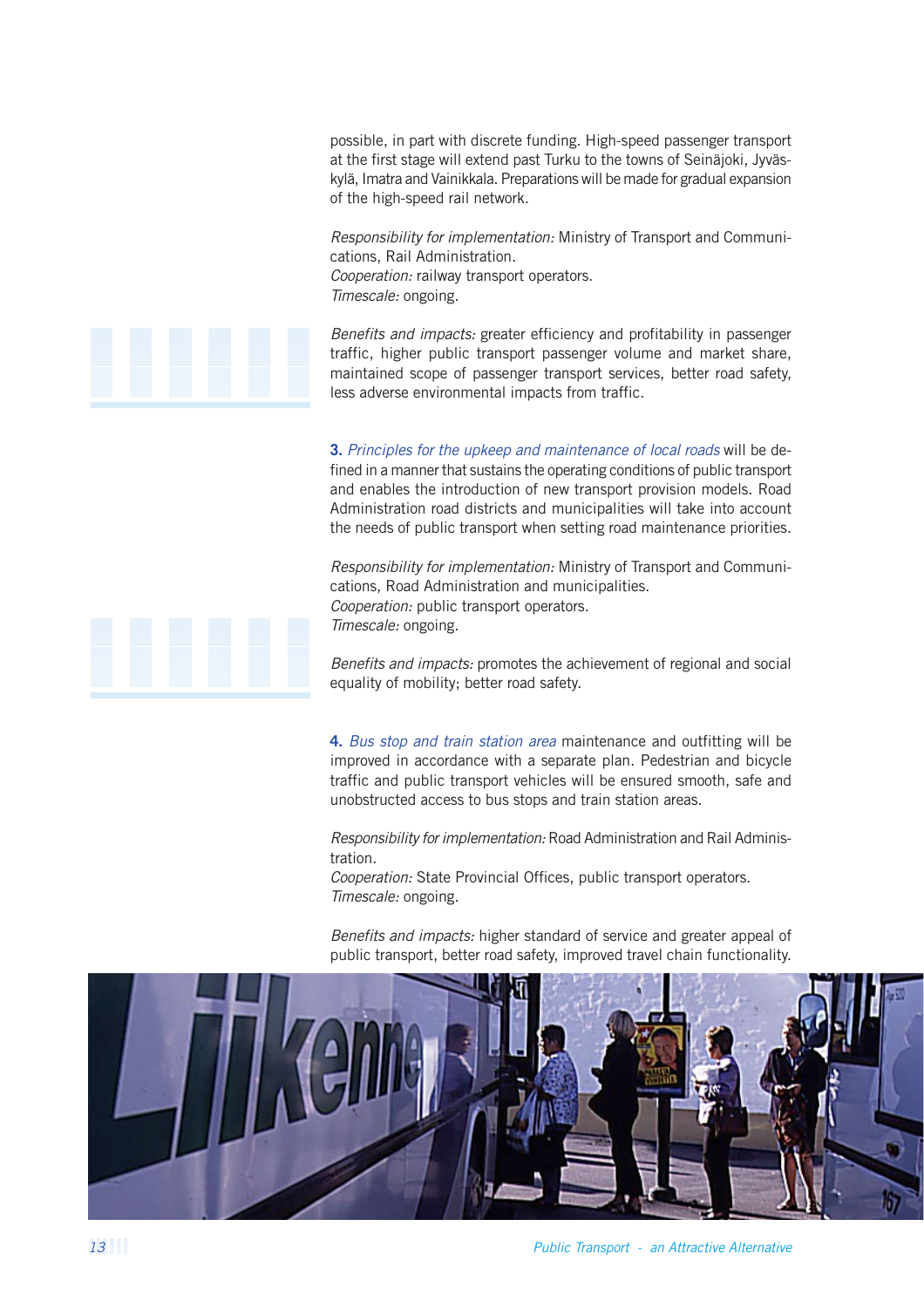possible, in part with discrete funding. High-speed passenger transport at the first stage will extend past Turku to the towns of Seinäjoki, Jyväskylä, Imatra and Vainikkala. Preparations will be made for gradual expansion of the high-speed rail network.

Responsibility for implementation: Ministry of Transport and Communications, Rail Administration. Cooperation: railway transport operators. Timescale: ongoing.

Benefits and impacts: greater efficiency and profitability in passenger traffic, higher public transport passenger volume and market share, maintained scope of passenger transport services, better road safety, less adverse environmental impacts from traffic.

**3.** Principles for the upkeep and maintenance of local roads will be defined in a manner that sustains the operating conditions of public transport and enables the introduction of new transport provision models. Road Administration road districts and municipalities will take into account the needs of public transport when setting road maintenance priorities.

Responsibility for implementation: Ministry of Transport and Communications, Road Administration and municipalities. Cooperation: public transport operators. Timescale: ongoing.

Benefits and impacts: promotes the achievement of regional and social equality of mobility; better road safety.

**4.** Bus stop and train station area maintenance and outfitting will be improved in accordance with a separate plan. Pedestrian and bicycle traffic and public transport vehicles will be ensured smooth, safe and unobstructed access to bus stops and train station areas.

Responsibility for implementation: Road Administration and Rail Administration.

Cooperation: State Provincial Offices, public transport operators. Timescale: ongoing.

Benefits and impacts: higher standard of service and greater appeal of public transport, better road safety, improved travel chain functionality.





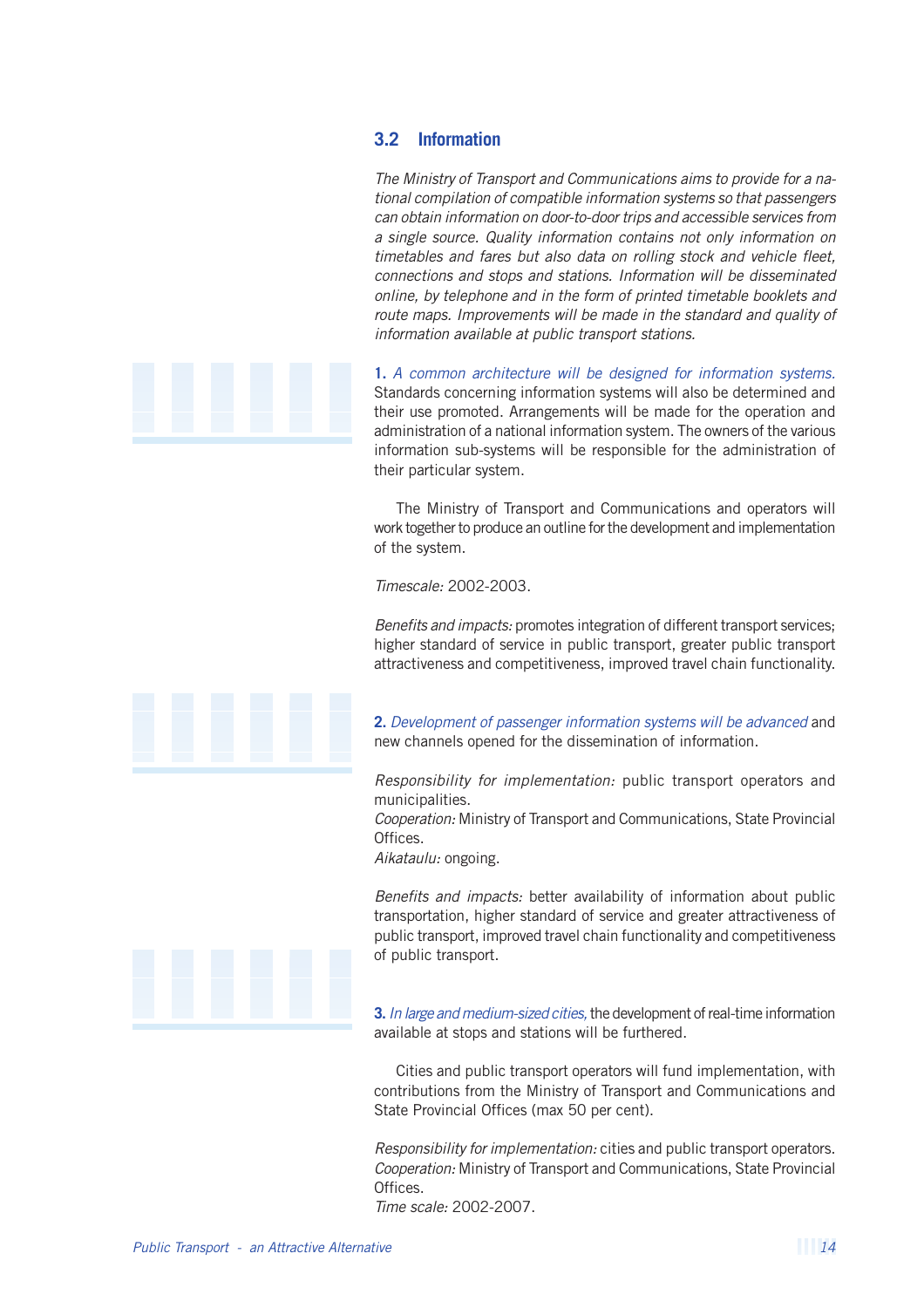### **3.2 Information**

The Ministry of Transport and Communications aims to provide for a national compilation of compatible information systems so that passengers can obtain information on door-to-door trips and accessible services from a single source. Quality information contains not only information on timetables and fares but also data on rolling stock and vehicle fleet, connections and stops and stations. Information will be disseminated online, by telephone and in the form of printed timetable booklets and route maps. Improvements will be made in the standard and quality of information available at public transport stations.

### **1.** A common architecture will be designed for information systems.

Standards concerning information systems will also be determined and their use promoted. Arrangements will be made for the operation and administration of a national information system. The owners of the various information sub-systems will be responsible for the administration of their particular system.

The Ministry of Transport and Communications and operators will work together to produce an outline for the development and implementation of the system.

### Timescale: 2002-2003.

Benefits and impacts: promotes integration of different transport services; higher standard of service in public transport, greater public transport attractiveness and competitiveness, improved travel chain functionality.

**2.** Development of passenger information systems will be advanced and new channels opened for the dissemination of information.

Responsibility for implementation: public transport operators and municipalities.

Cooperation: Ministry of Transport and Communications, State Provincial Offices.

Aikataulu: ongoing.

Benefits and impacts: better availability of information about public transportation, higher standard of service and greater attractiveness of public transport, improved travel chain functionality and competitiveness of public transport.

**3.** In large and medium-sized cities, the development of real-time information available at stops and stations will be furthered.

Cities and public transport operators will fund implementation, with contributions from the Ministry of Transport and Communications and State Provincial Offices (max 50 per cent).

Responsibility for implementation: cities and public transport operators. Cooperation: Ministry of Transport and Communications, State Provincial Offices.

Time scale: 2002-2007.



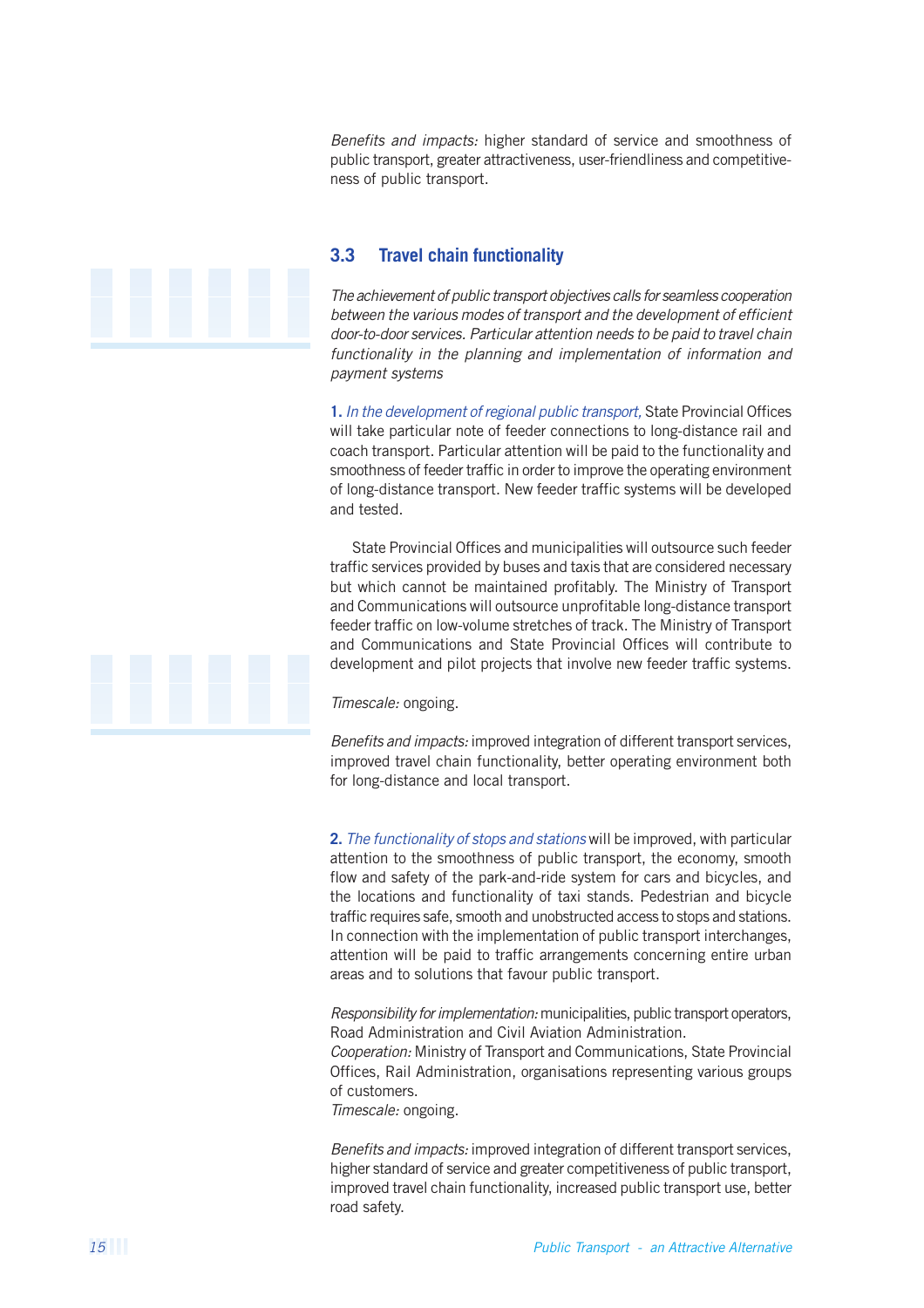Benefits and impacts: higher standard of service and smoothness of public transport, greater attractiveness, user-friendliness and competitiveness of public transport.



The achievement of public transport objectives calls for seamless cooperation between the various modes of transport and the development of efficient door-to-door services. Particular attention needs to be paid to travel chain functionality in the planning and implementation of information and payment systems

**1.**In the development of regional public transport, State Provincial Offices will take particular note of feeder connections to long-distance rail and coach transport. Particular attention will be paid to the functionality and smoothness of feeder traffic in order to improve the operating environment of long-distance transport. New feeder traffic systems will be developed and tested.

State Provincial Offices and municipalities will outsource such feeder traffic services provided by buses and taxis that are considered necessary but which cannot be maintained profitably. The Ministry of Transport and Communications will outsource unprofitable long-distance transport feeder traffic on low-volume stretches of track. The Ministry of Transport and Communications and State Provincial Offices will contribute to development and pilot projects that involve new feeder traffic systems.

Timescale: ongoing.

Benefits and impacts: improved integration of different transport services, improved travel chain functionality, better operating environment both for long-distance and local transport.

**2.** The functionality of stops and stations will be improved, with particular attention to the smoothness of public transport, the economy, smooth flow and safety of the park-and-ride system for cars and bicycles, and the locations and functionality of taxi stands. Pedestrian and bicycle traffic requires safe, smooth and unobstructed access to stops and stations. In connection with the implementation of public transport interchanges, attention will be paid to traffic arrangements concerning entire urban areas and to solutions that favour public transport.

Responsibility for implementation: municipalities, public transport operators, Road Administration and Civil Aviation Administration.

Cooperation: Ministry of Transport and Communications, State Provincial Offices, Rail Administration, organisations representing various groups of customers.

Timescale: ongoing.

Benefits and impacts: improved integration of different transport services, higher standard of service and greater competitiveness of public transport, improved travel chain functionality, increased public transport use, better road safety.



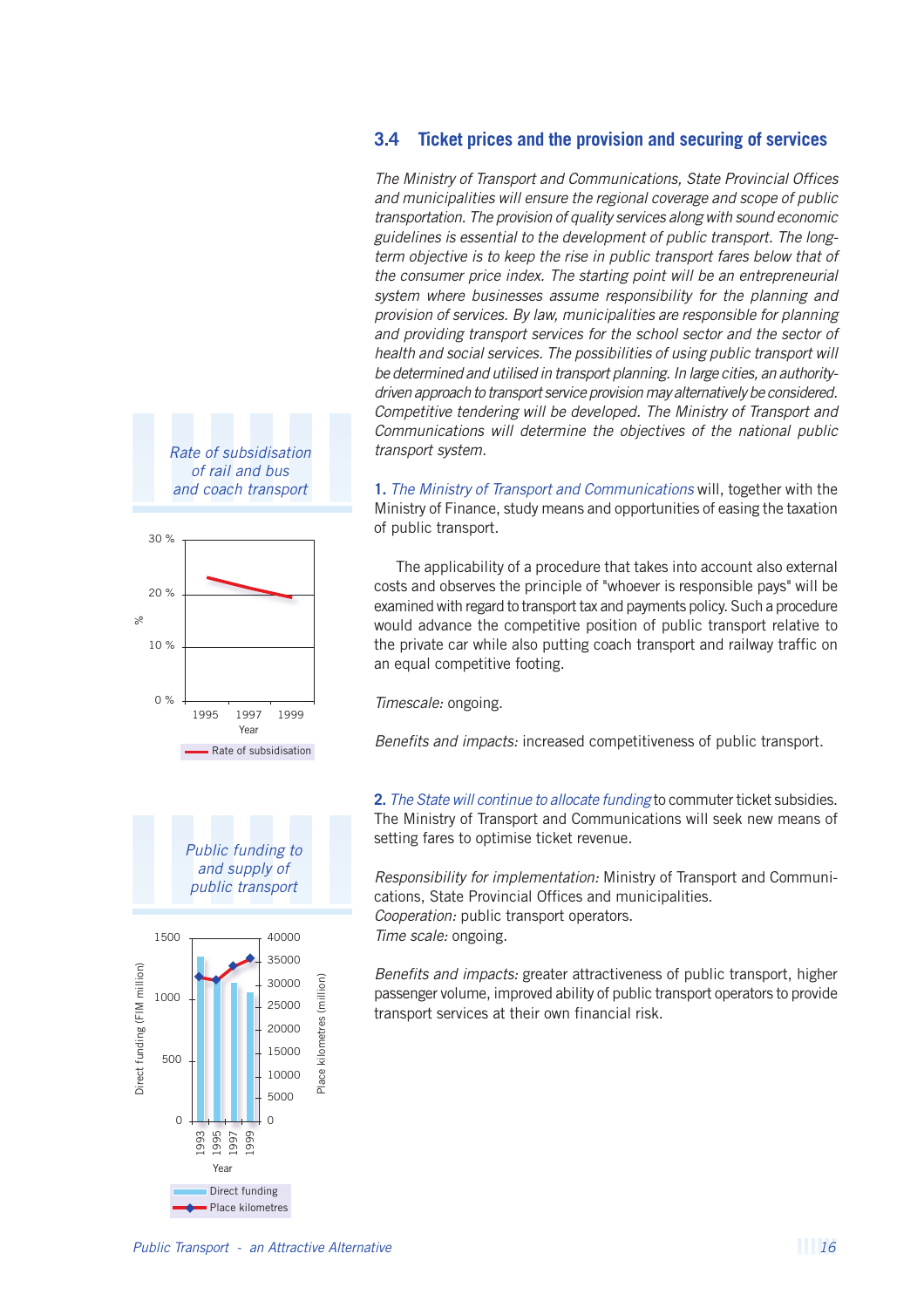### **3.4 Ticket prices and the provision and securing of services**

The Ministry of Transport and Communications, State Provincial Offices and municipalities will ensure the regional coverage and scope of public transportation. The provision of quality services along with sound economic guidelines is essential to the development of public transport. The longterm objective is to keep the rise in public transport fares below that of the consumer price index. The starting point will be an entrepreneurial system where businesses assume responsibility for the planning and provision of services. By law, municipalities are responsible for planning and providing transport services for the school sector and the sector of health and social services. The possibilities of using public transport will be determined and utilised in transport planning. In large cities, an authoritydriven approach to transport service provision may alternatively be considered. Competitive tendering will be developed. The Ministry of Transport and Communications will determine the objectives of the national public transport system.

Rate of subsidisation of rail and bus and coach transport



**1.** The Ministry of Transport and Communications will, together with the Ministry of Finance, study means and opportunities of easing the taxation of public transport.

The applicability of a procedure that takes into account also external costs and observes the principle of "whoever is responsible pays" will be examined with regard to transport tax and payments policy. Such a procedure would advance the competitive position of public transport relative to the private car while also putting coach transport and railway traffic on an equal competitive footing.

Timescale: ongoing.

Benefits and impacts: increased competitiveness of public transport.

**2.** The State will continue to allocate funding to commuter ticket subsidies. The Ministry of Transport and Communications will seek new means of setting fares to optimise ticket revenue.

Responsibility for implementation: Ministry of Transport and Communications, State Provincial Offices and municipalities. Cooperation: public transport operators. Time scale: ongoing.

Benefits and impacts: greater attractiveness of public transport, higher passenger volume, improved ability of public transport operators to provide transport services at their own financial risk.

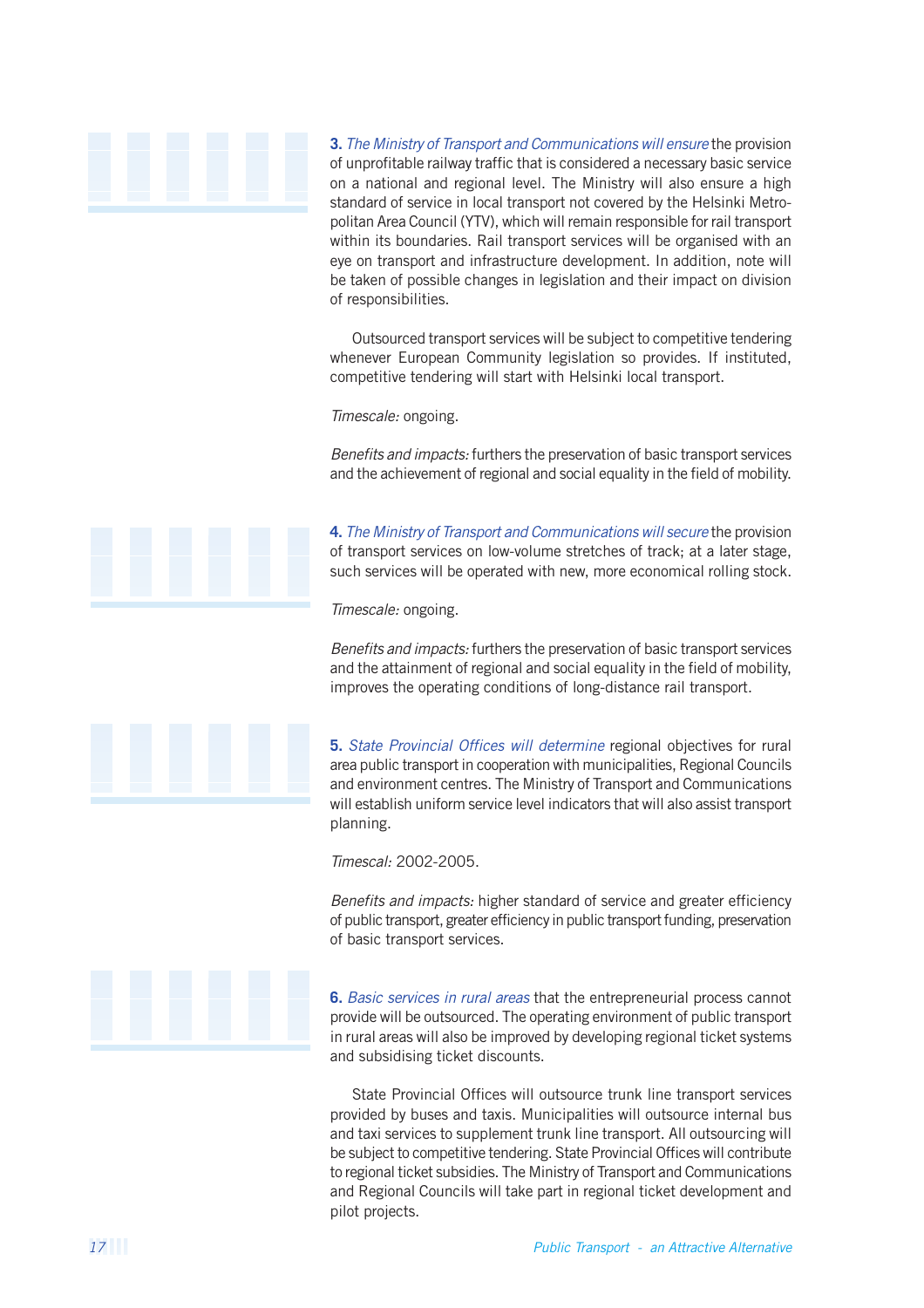

**3.** The Ministry of Transport and Communications will ensure the provision of unprofitable railway traffic that is considered a necessary basic service on a national and regional level. The Ministry will also ensure a high standard of service in local transport not covered by the Helsinki Metropolitan Area Council (YTV), which will remain responsible for rail transport within its boundaries. Rail transport services will be organised with an eye on transport and infrastructure development. In addition, note will be taken of possible changes in legislation and their impact on division of responsibilities.

Outsourced transport services will be subject to competitive tendering whenever European Community legislation so provides. If instituted, competitive tendering will start with Helsinki local transport.

Timescale: ongoing.

Benefits and impacts: furthers the preservation of basic transport services and the achievement of regional and social equality in the field of mobility.

**4.** The Ministry of Transport and Communications will secure the provision of transport services on low-volume stretches of track; at a later stage, such services will be operated with new, more economical rolling stock.

Timescale: ongoing.

Benefits and impacts: furthers the preservation of basic transport services and the attainment of regional and social equality in the field of mobility, improves the operating conditions of long-distance rail transport.

**5.** State Provincial Offices will determine regional objectives for rural area public transport in cooperation with municipalities, Regional Councils and environment centres. The Ministry of Transport and Communications will establish uniform service level indicators that will also assist transport planning.

Timescal: 2002-2005.

Benefits and impacts: higher standard of service and greater efficiency of public transport, greater efficiency in public transport funding, preservation of basic transport services.

**6.** Basic services in rural areas that the entrepreneurial process cannot provide will be outsourced. The operating environment of public transport in rural areas will also be improved by developing regional ticket systems and subsidising ticket discounts.

State Provincial Offices will outsource trunk line transport services provided by buses and taxis. Municipalities will outsource internal bus and taxi services to supplement trunk line transport. All outsourcing will be subject to competitive tendering. State Provincial Offices will contribute to regional ticket subsidies. The Ministry of Transport and Communications and Regional Councils will take part in regional ticket development and pilot projects.



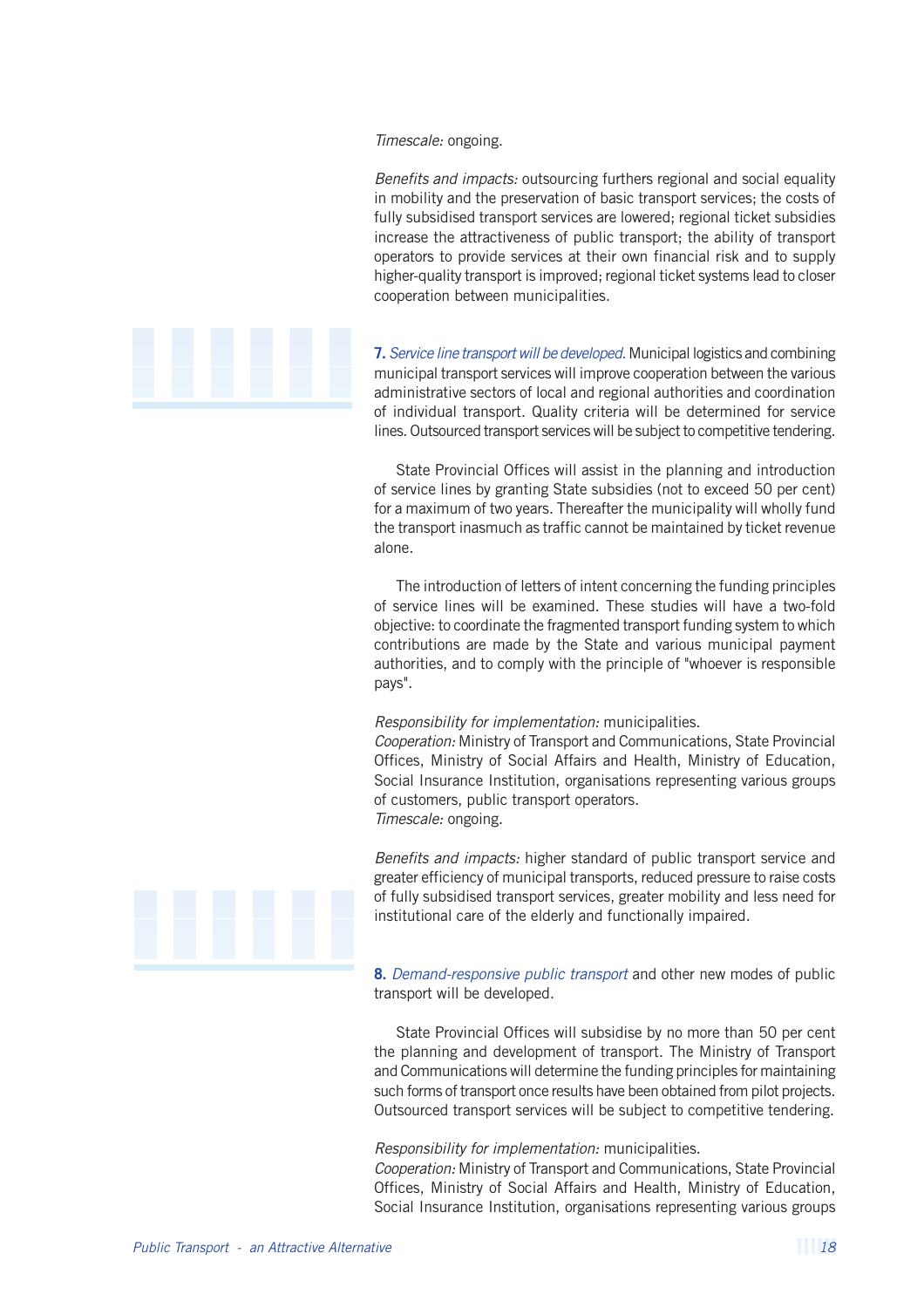### Timescale: ongoing.

Benefits and impacts: outsourcing furthers regional and social equality in mobility and the preservation of basic transport services; the costs of fully subsidised transport services are lowered; regional ticket subsidies increase the attractiveness of public transport; the ability of transport operators to provide services at their own financial risk and to supply higher-quality transport is improved; regional ticket systems lead to closer cooperation between municipalities.

**7.** Service line transport will be developed. Municipal logistics and combining municipal transport services will improve cooperation between the various administrative sectors of local and regional authorities and coordination of individual transport. Quality criteria will be determined for service lines. Outsourced transport services will be subject to competitive tendering.

State Provincial Offices will assist in the planning and introduction of service lines by granting State subsidies (not to exceed 50 per cent) for a maximum of two years. Thereafter the municipality will wholly fund the transport inasmuch as traffic cannot be maintained by ticket revenue alone.

The introduction of letters of intent concerning the funding principles of service lines will be examined. These studies will have a two-fold objective: to coordinate the fragmented transport funding system to which contributions are made by the State and various municipal payment authorities, and to comply with the principle of "whoever is responsible pays".

### Responsibility for implementation: municipalities.

Cooperation: Ministry of Transport and Communications, State Provincial Offices, Ministry of Social Affairs and Health, Ministry of Education, Social Insurance Institution, organisations representing various groups of customers, public transport operators. Timescale: ongoing.

Benefits and impacts: higher standard of public transport service and greater efficiency of municipal transports, reduced pressure to raise costs of fully subsidised transport services, greater mobility and less need for institutional care of the elderly and functionally impaired.

**8.** Demand-responsive public transport and other new modes of public transport will be developed.

State Provincial Offices will subsidise by no more than 50 per cent the planning and development of transport. The Ministry of Transport and Communications will determine the funding principles for maintaining such forms of transport once results have been obtained from pilot projects. Outsourced transport services will be subject to competitive tendering.

### Responsibility for implementation: municipalities.

Cooperation: Ministry of Transport and Communications, State Provincial Offices, Ministry of Social Affairs and Health, Ministry of Education, Social Insurance Institution, organisations representing various groups

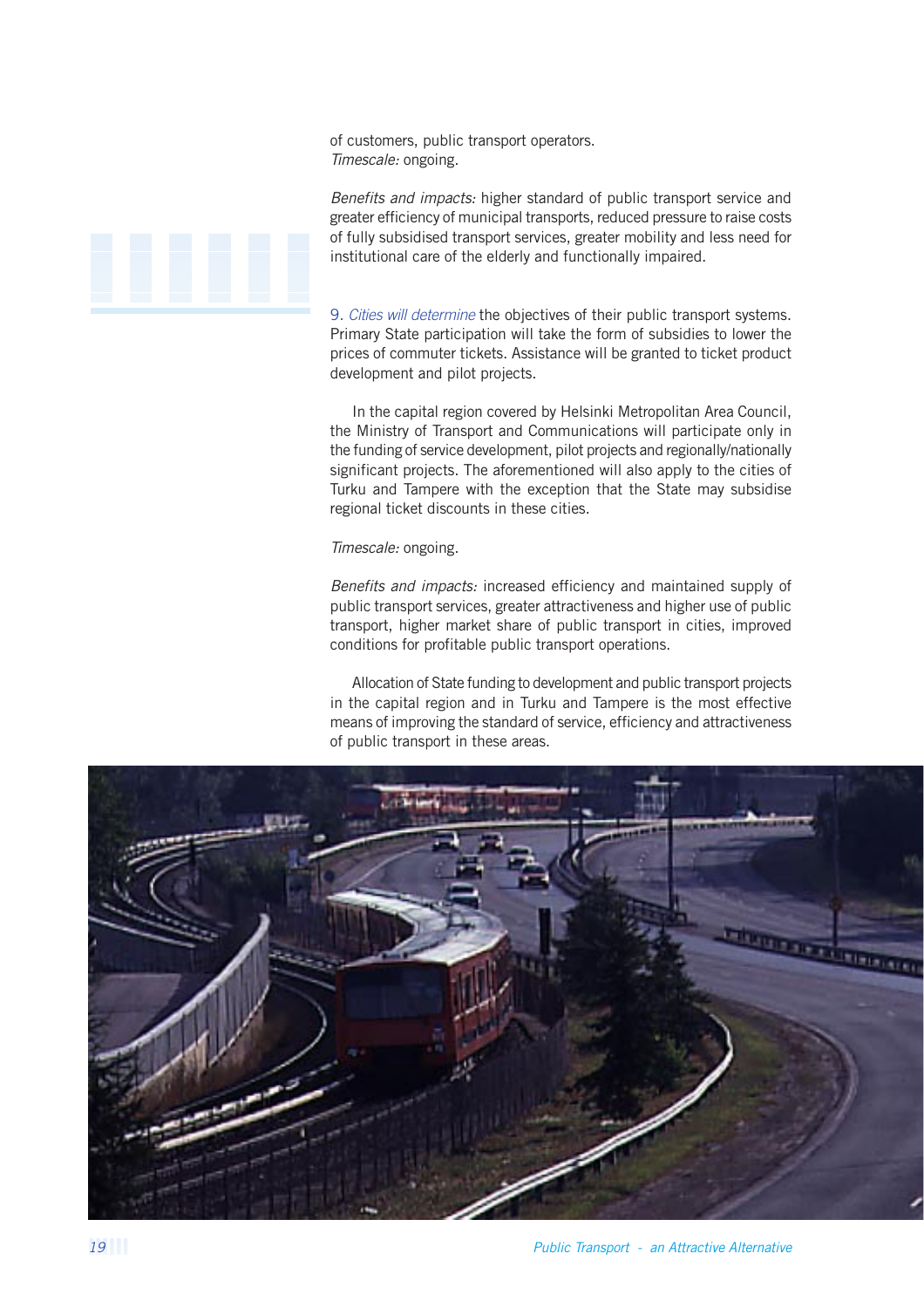of customers, public transport operators. Timescale: ongoing.

Benefits and impacts: higher standard of public transport service and greater efficiency of municipal transports, reduced pressure to raise costs of fully subsidised transport services, greater mobility and less need for institutional care of the elderly and functionally impaired.

9. Cities will determine the objectives of their public transport systems. Primary State participation will take the form of subsidies to lower the prices of commuter tickets. Assistance will be granted to ticket product development and pilot projects.

In the capital region covered by Helsinki Metropolitan Area Council, the Ministry of Transport and Communications will participate only in the funding of service development, pilot projects and regionally/nationally significant projects. The aforementioned will also apply to the cities of Turku and Tampere with the exception that the State may subsidise regional ticket discounts in these cities.

Timescale: ongoing.

Benefits and impacts: increased efficiency and maintained supply of public transport services, greater attractiveness and higher use of public transport, higher market share of public transport in cities, improved conditions for profitable public transport operations.

Allocation of State funding to development and public transport projects in the capital region and in Turku and Tampere is the most effective means of improving the standard of service, efficiency and attractiveness of public transport in these areas.



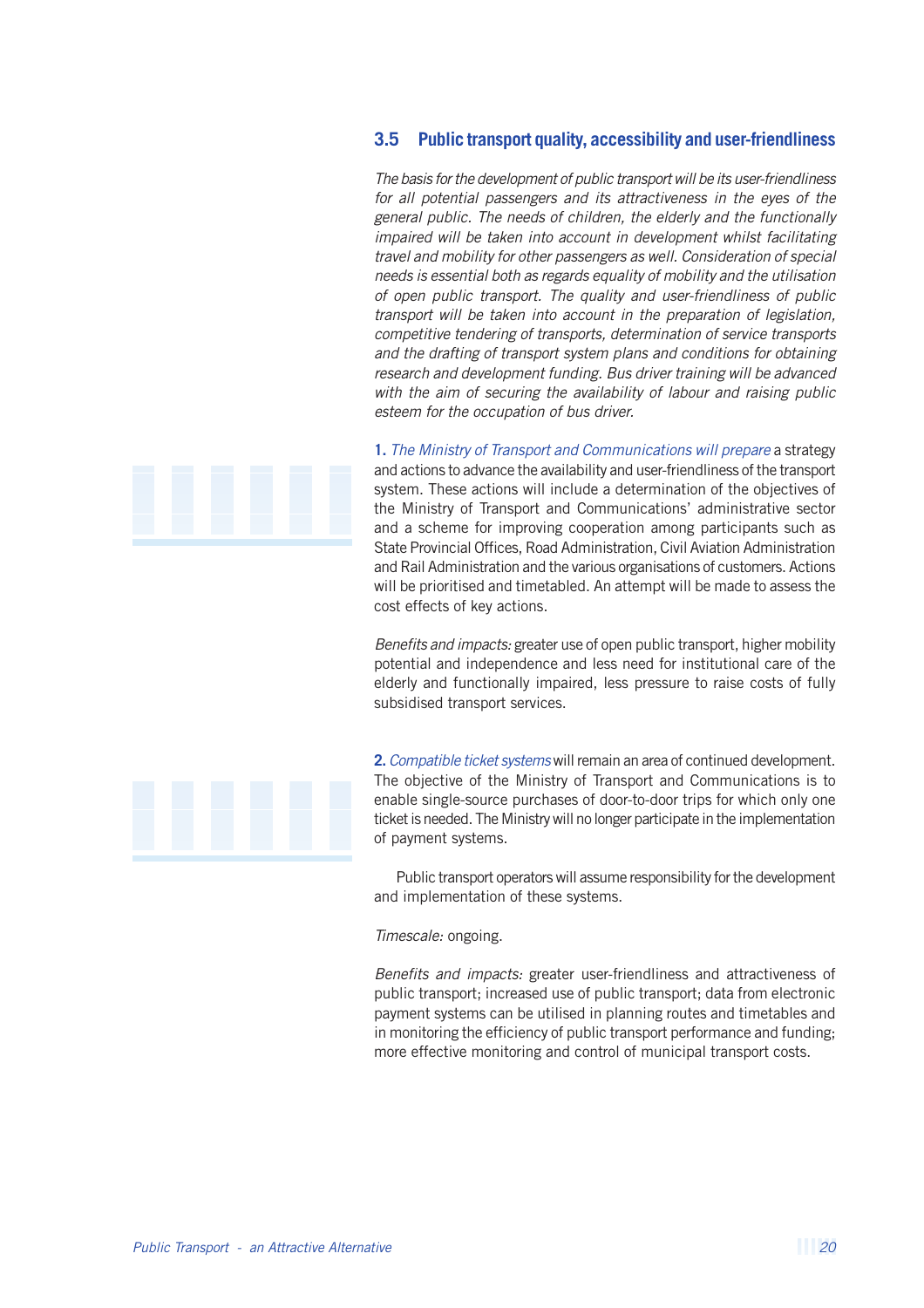### **3.5 Public transport quality, accessibility and user-friendliness**

The basis for the development of public transport will be its user-friendliness for all potential passengers and its attractiveness in the eyes of the general public. The needs of children, the elderly and the functionally impaired will be taken into account in development whilst facilitating travel and mobility for other passengers as well. Consideration of special needs is essential both as regards equality of mobility and the utilisation of open public transport. The quality and user-friendliness of public transport will be taken into account in the preparation of legislation, competitive tendering of transports, determination of service transports and the drafting of transport system plans and conditions for obtaining research and development funding. Bus driver training will be advanced with the aim of securing the availability of labour and raising public esteem for the occupation of bus driver.

**1.** The Ministry of Transport and Communications will prepare a strategy and actions to advance the availability and user-friendliness of the transport system. These actions will include a determination of the objectives of the Ministry of Transport and Communications' administrative sector and a scheme for improving cooperation among participants such as State Provincial Offices, Road Administration, Civil Aviation Administration and Rail Administration and the various organisations of customers. Actions will be prioritised and timetabled. An attempt will be made to assess the cost effects of key actions.

Benefits and impacts: greater use of open public transport, higher mobility potential and independence and less need for institutional care of the elderly and functionally impaired, less pressure to raise costs of fully subsidised transport services.

**2.** Compatible ticket systems will remain an area of continued development. The objective of the Ministry of Transport and Communications is to enable single-source purchases of door-to-door trips for which only one ticket is needed. The Ministry will no longer participate in the implementation of payment systems.

Public transport operators will assume responsibility for the development and implementation of these systems.

### Timescale: ongoing.

Benefits and impacts: greater user-friendliness and attractiveness of public transport; increased use of public transport; data from electronic payment systems can be utilised in planning routes and timetables and in monitoring the efficiency of public transport performance and funding; more effective monitoring and control of municipal transport costs.



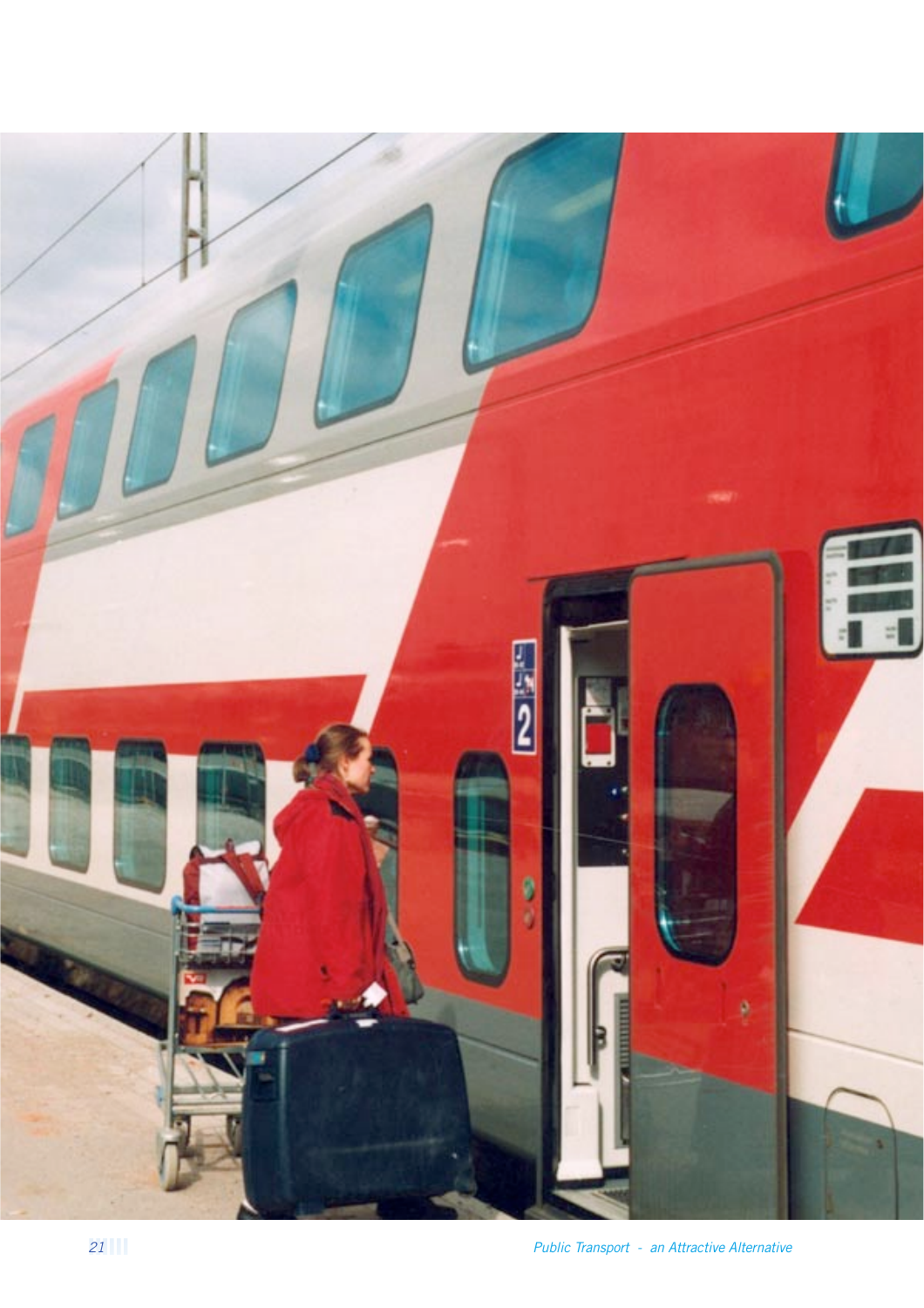

Public Transport - an Attractive Alternative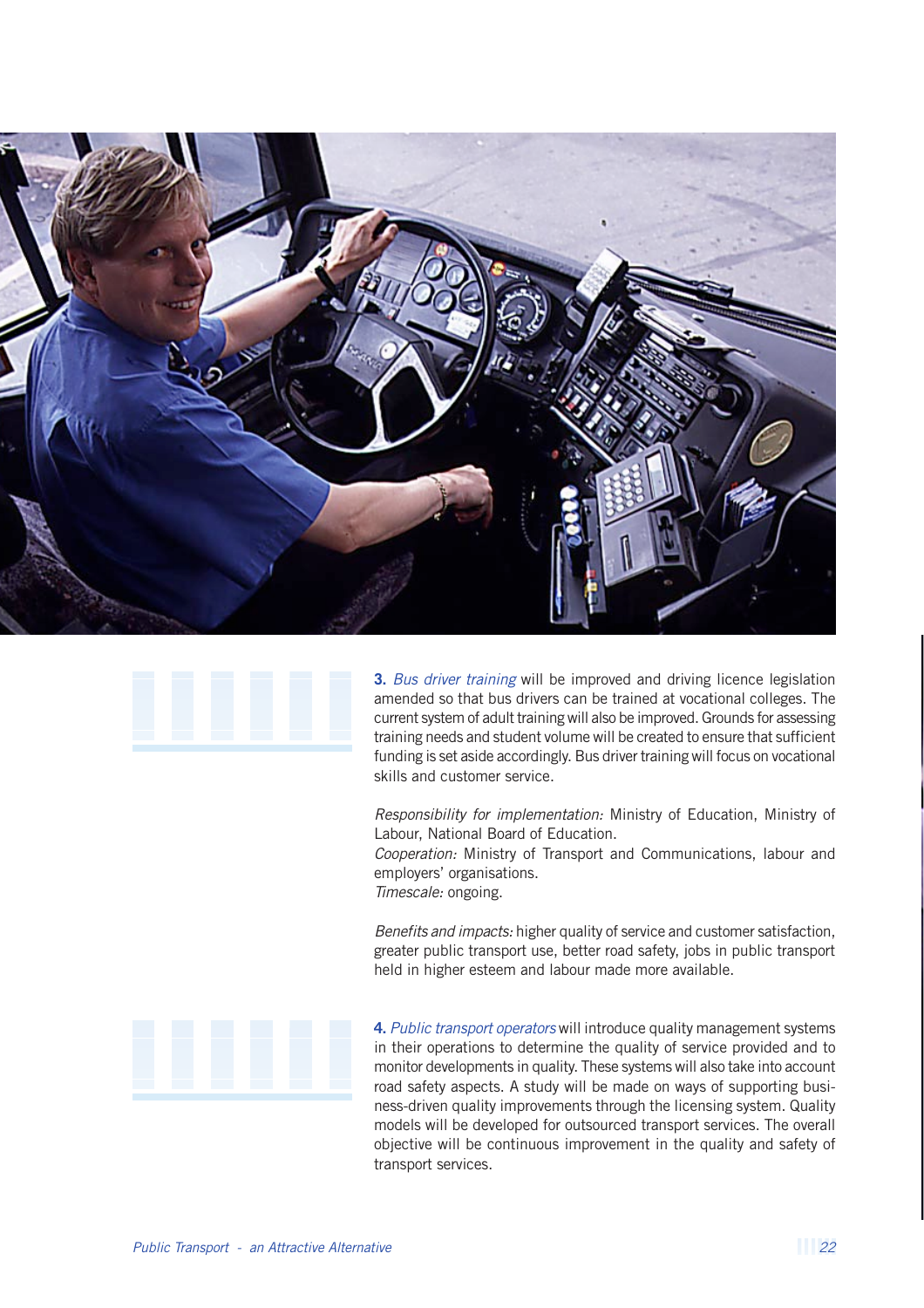



**3.** Bus driver training will be improved and driving licence legislation amended so that bus drivers can be trained at vocational colleges. The current system of adult training will also be improved. Grounds for assessing training needs and student volume will be created to ensure that sufficient funding is set aside accordingly. Bus driver training will focus on vocational skills and customer service.

Responsibility for implementation: Ministry of Education, Ministry of Labour, National Board of Education.

Cooperation: Ministry of Transport and Communications, labour and employers' organisations.

Timescale: ongoing.

Benefits and impacts: higher quality of service and customer satisfaction, greater public transport use, better road safety, jobs in public transport held in higher esteem and labour made more available.



**4.** Public transport operators will introduce quality management systems in their operations to determine the quality of service provided and to monitor developments in quality. These systems will also take into account road safety aspects. A study will be made on ways of supporting business-driven quality improvements through the licensing system. Quality models will be developed for outsourced transport services. The overall objective will be continuous improvement in the quality and safety of transport services.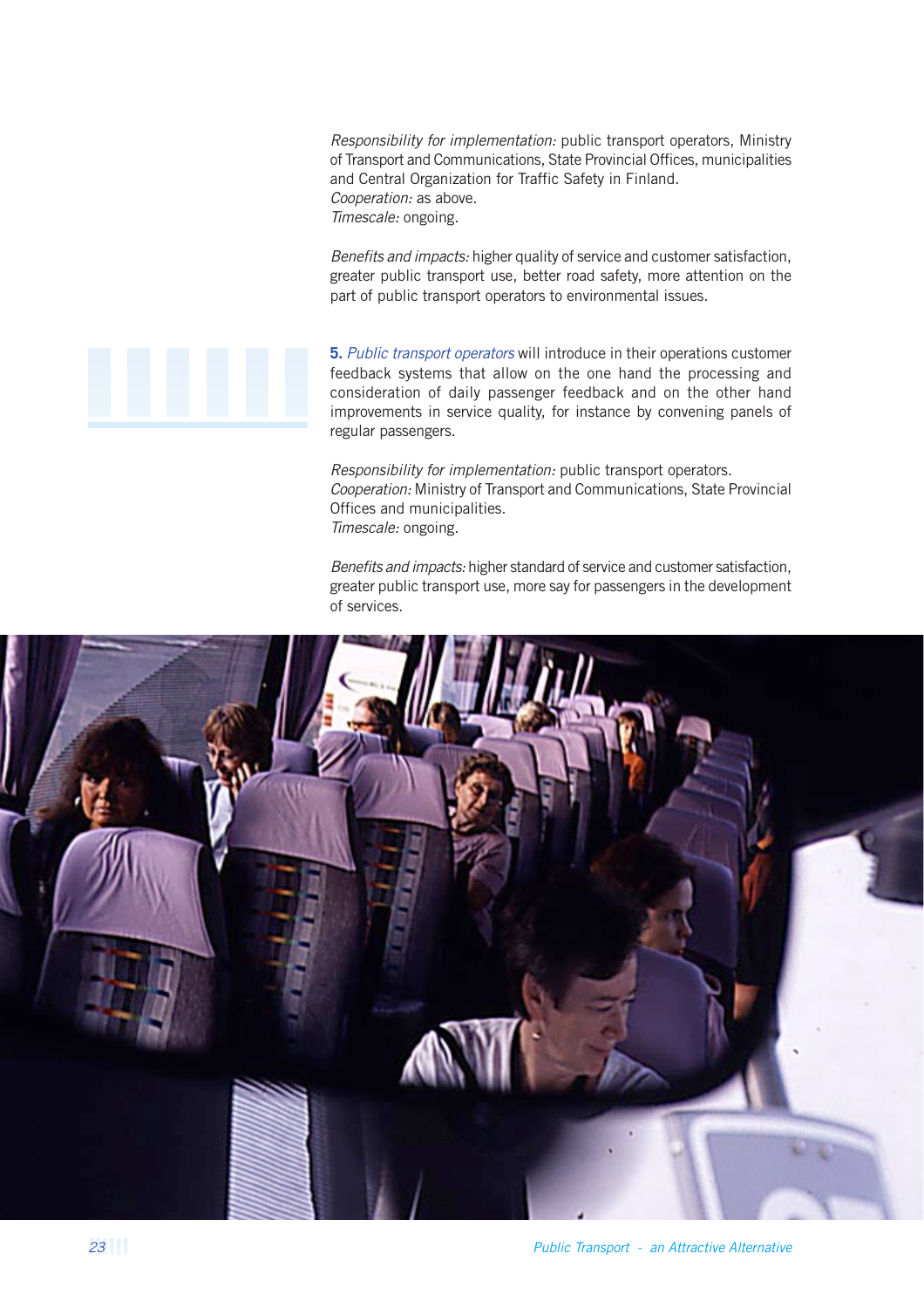Responsibility for implementation: public transport operators, Ministry of Transport and Communications, State Provincial Offices, municipalities and Central Organization for Traffic Safety in Finland. Cooperation: as above. Timescale: ongoing.

Benefits and impacts: higher quality of service and customer satisfaction, greater public transport use, better road safety, more attention on the part of public transport operators to environmental issues.



**5.** Public transport operators will introduce in their operations customer feedback systems that allow on the one hand the processing and consideration of daily passenger feedback and on the other hand improvements in service quality, for instance by convening panels of regular passengers.

Responsibility for implementation: public transport operators. Cooperation: Ministry of Transport and Communications, State Provincial Offices and municipalities. Timescale: ongoing.

Benefits and impacts: higher standard of service and customer satisfaction, greater public transport use, more say for passengers in the development of services.

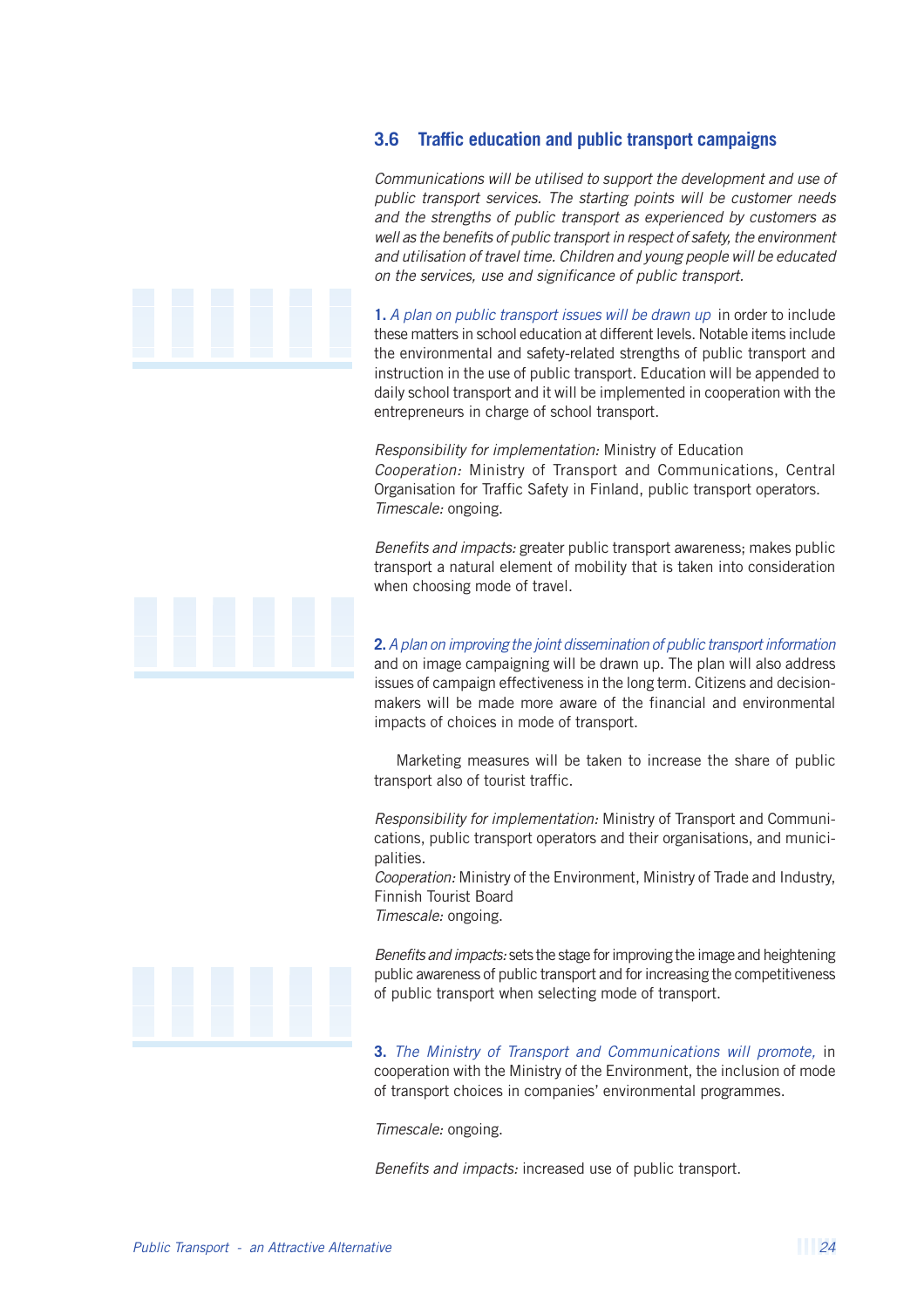

### **3.6 Traffic education and public transport campaigns**

Communications will be utilised to support the development and use of public transport services. The starting points will be customer needs and the strengths of public transport as experienced by customers as well as the benefits of public transport in respect of safety, the environment and utilisation of travel time. Children and young people will be educated on the services, use and significance of public transport.

**1.** A plan on public transport issues will be drawn up in order to include these matters in school education at different levels. Notable items include the environmental and safety-related strengths of public transport and instruction in the use of public transport. Education will be appended to daily school transport and it will be implemented in cooperation with the entrepreneurs in charge of school transport.

Responsibility for implementation: Ministry of Education Cooperation: Ministry of Transport and Communications, Central Organisation for Traffic Safety in Finland, public transport operators. Timescale: ongoing.

Benefits and impacts: greater public transport awareness; makes public transport a natural element of mobility that is taken into consideration when choosing mode of travel.



**2.** A plan on improving the joint dissemination of public transport information and on image campaigning will be drawn up. The plan will also address issues of campaign effectiveness in the long term. Citizens and decisionmakers will be made more aware of the financial and environmental impacts of choices in mode of transport.

Marketing measures will be taken to increase the share of public transport also of tourist traffic.

Responsibility for implementation: Ministry of Transport and Communications, public transport operators and their organisations, and municipalities.

Cooperation: Ministry of the Environment, Ministry of Trade and Industry, Finnish Tourist Board

Timescale: ongoing.

Benefits and impacts: sets the stage for improving the image and heightening public awareness of public transport and for increasing the competitiveness of public transport when selecting mode of transport.

**3.** The Ministry of Transport and Communications will promote, in cooperation with the Ministry of the Environment, the inclusion of mode of transport choices in companies' environmental programmes.

Timescale: ongoing.

Benefits and impacts: increased use of public transport.

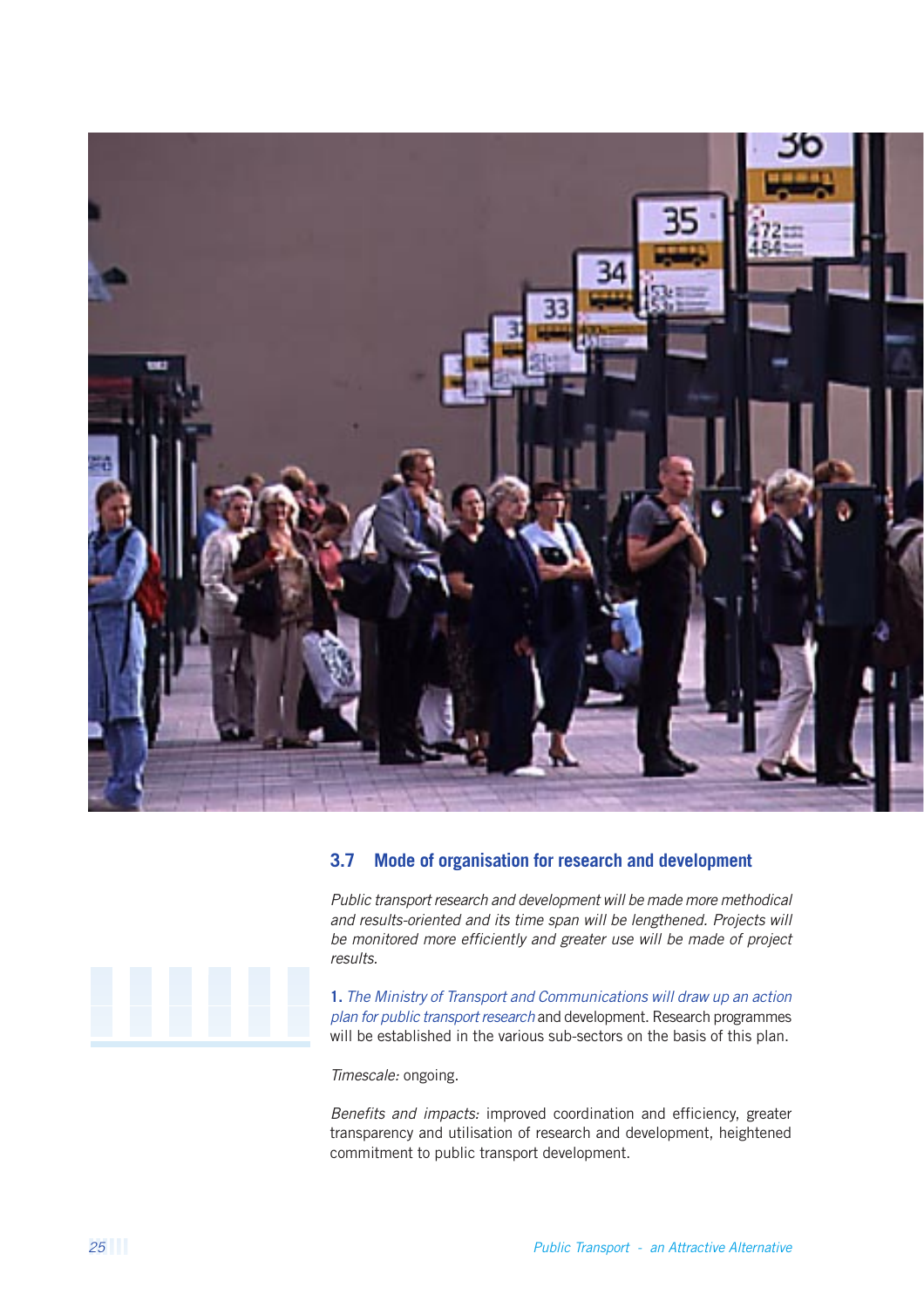

### **3.7 Mode of organisation for research and development**

Public transport research and development will be made more methodical and results-oriented and its time span will be lengthened. Projects will be monitored more efficiently and greater use will be made of project results.

**1.** The Ministry of Transport and Communications will draw up an action plan for public transport research and development. Research programmes will be established in the various sub-sectors on the basis of this plan.

Timescale: ongoing.

Benefits and impacts: improved coordination and efficiency, greater transparency and utilisation of research and development, heightened commitment to public transport development.

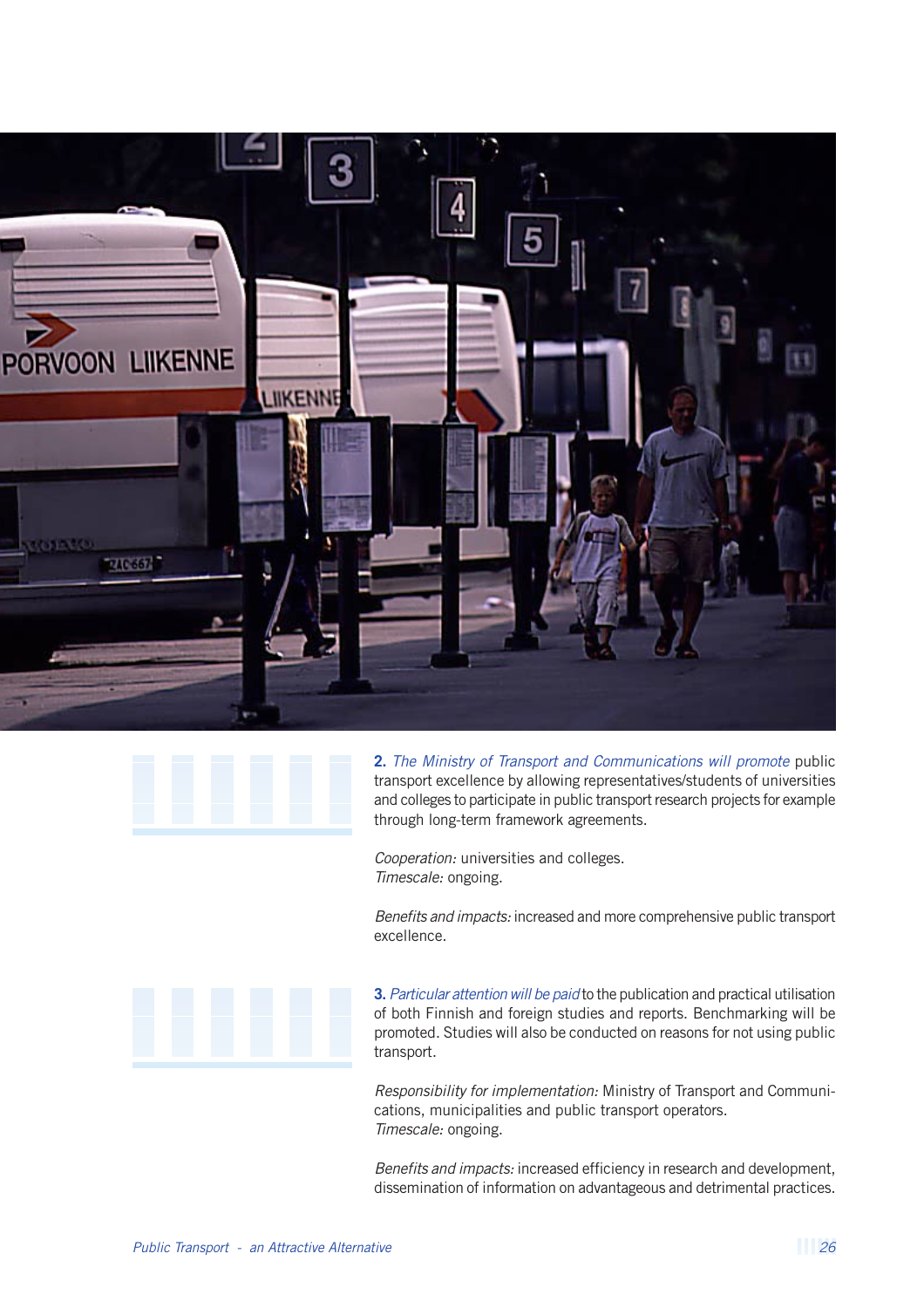



**2.** The Ministry of Transport and Communications will promote public transport excellence by allowing representatives/students of universities and colleges to participate in public transport research projects for example through long-term framework agreements.

Cooperation: universities and colleges. Timescale: ongoing.

Benefits and impacts: increased and more comprehensive public transport excellence.



Responsibility for implementation: Ministry of Transport and Communications, municipalities and public transport operators. Timescale: ongoing.

Benefits and impacts: increased efficiency in research and development, dissemination of information on advantageous and detrimental practices.